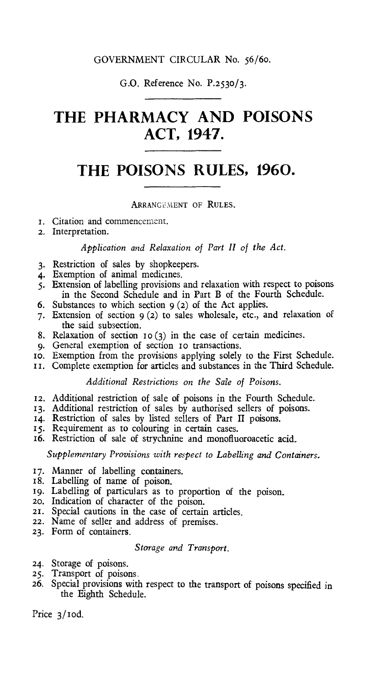# GOVERNMENT CIRCULAR No. 56/6o.

# G.O. Reference No. P.2530/3.

# **THE PHARMACY AND POISONS ACT, 1947.**

# **THE POISONS RULES, 1960.**

# ARRANGEMENT OF RULES.

- i. Citation and commencement.
- 2. Interpretation.

# *Application and Relaxation of Part II of the Act.*

- 3. Restriction of sales by shopkeepers.
- 4. Exemption of animal medicines.
- 5. Extension of labelling provisions and relaxation with respect to poisons in the Second Schedule and in Part **B** of the Fourth Schedule.
- 6. Substances to which section  $9(2)$  of the Act applies.
- 7. Extension of section 9 (2) to sales wholesale, etc., and relaxation of the said subsection.
- 8. Relaxation of section 10(3) in the case of certain medicines.
- 9. General exemption of section to transactions.
- to. Exemption from the provisions applying solely to the First Schedule.
- II. Complete exemption for articles and substances in the Third Schedule.

# *Additional Restrictions on the Sale of Poisons.*

- 12. Additional restriction of sale of poisons in the Fourth Schedule.
- 13. Additional restriction of sales by authorised sellers of poisons.
- 14. Restriction of sales by listed sellers of Part **II** poisons.
- 15. Requirement as to colouring in certain cases.
- 16. Restriction of sale of strychnine and monofluoroacetic acid.

*Supplementary Provisions with respect to Labelling and Containers.* 

- 17. Manner of labelling containers.
- 18. Labelling of name of poison.
- 19. Labelling of particulars as to proportion of the poison.
- 20. Indication of character of the poison.
- 21. Special cautions in the case of certain articles.
- 22. Name of seller and address of premises.
- 23. Form of containers.

# *Storage and Transport.*

- 24. Storage of poisons.
- 25. Transport of poisons.
- 26. Special provisions with respect to the transport of poisons specified in the Eighth Schedule.

Price 3/10d.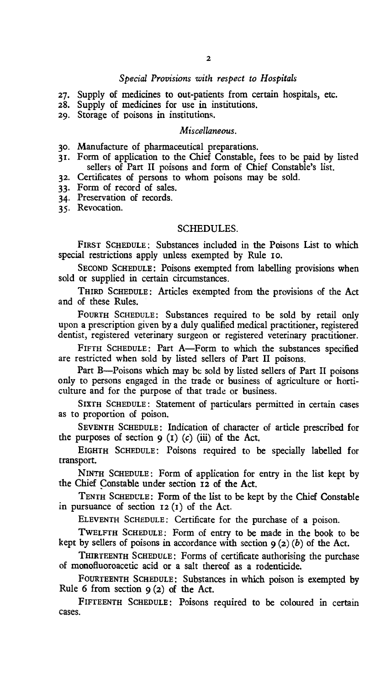# *Special Provisions with respect to Hospitals*

- 27. Supply of medicines to out-patients from certain hospitals, etc.
- 28. Supply of medicines for use in institutions.
- 29. Storage of poisons in institutions.

# *Miscellaneous.*

- 3o. Manufacture of pharmaceutical preparations.
- 31. Form of application to the Chief Constable, fees to be paid by listed sellers of Part II poisons and form of Chief Constable's list.
- 32. Certificates of persons to whom poisons may be sold.
- 33. Form of record of sales.
- 34. Preservation of records.

35. Revocation.

# SCHEDULES.

FIRST SCHEDULE: Substances included in the Poisons List to which special restrictions apply unless exempted by Rule to.

SECOND SCHEDULE: Poisons exempted from labelling provisions when sold or supplied in certain circumstances.

THIRD SCHEDULE: Articles exempted from the provisions of the Act and of these Rules.

FOURTH SCHEDULE: Substances required to be sold by retail only upon a prescription given by a duly qualified medical practitioner, registered dentist, registered veterinary surgeon or registered veterinary practitioner.

FIFTH SCHEDULE: Part A—Form to which the substances specified are restricted when sold by listed sellers of Part II poisons.

Part B—Poisons which may be sold by listed sellers of Part II poisons only to persons engaged in the trade or business of agriculture or horticulture and for the purpose of that trade or business.

SIXTH SCHEDULE: Statement of particulars permitted in certain cases as to proportion of poison.

SEVENTH SCHEDULE: Indication of character of article prescribed for the purposes of section  $9 (1) (c) (iii)$  of the Act.

EIGHTH SCHEDULE: Poisons required to be specially labelled for transport.

NINTH SCHEDULE : Form of application for entry in the list kept by the Chief Constable under section 12 of the Act.

TENTH SCHEDULE: Form of the list to be kept by the Chief Constable in pursuance of section 12 (1) of the Act.

ELEVENTH SCHEDULE: Certificate for the purchase of a poison.

TWELFTH SCHEDULE : Form of entry to be made in the book to be kept by sellers of poisons in accordance with section  $9(2)(b)$  of the Act.

THIRTEENTH SCHEDULE : Forms of certificate authorising the purchase of monofluoroacetic acid or a salt thereof as a rodenticide.

FOURTEENTH SCHEDULE: Substances in which poison is exempted by Rule 6 from section  $9(2)$  of the Act.

FIFTEENTH SCHEDULE: Poisons required to be coloured in certain cases.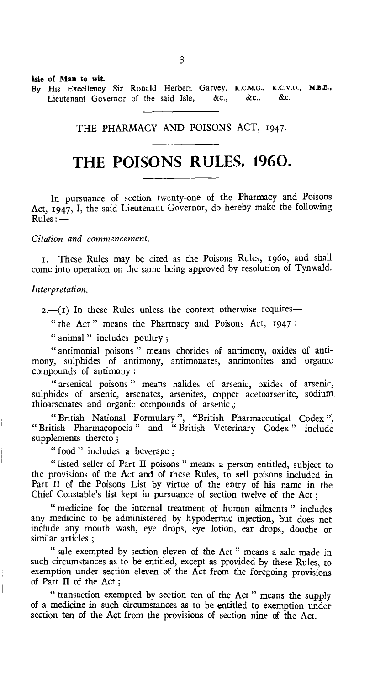Isle of Man to wit. By His Excellency Sir Ronald Herbert Garvey, K.C.M.G., K.C.V.O., M.B.E., Lieutenant Governor of the said Isle, &c., &c., &c.

# THE PHARMACY AND POISONS ACT, 1947.

# **THE POISONS RULES, 1960.**

In pursuance of section twenty-one of the Pharmacy and Poisons Act, 1947, I, the said Lieutenant Governor, do hereby make the following Rules :—

*Citation and commencement.* 

t. These Rules may be cited as the Poisons Rules, 196o, and shall come into operation on the same being approved by resolution of Tynwald.

### *Interpretation.*

 $2.-(1)$  In these Rules unless the context otherwise requires-

" the Act" means the Pharmacy and Poisons Act, 1947;

" animal " includes poultry;

" antimonial poisons " means chorides of antimony, oxides of antimony, sulphides of antimony, antimonates, antimonites and organic compounds of antimony ;

" arsenical poisons " means halides of arsenic, oxides of arsenic, sulphides of arsenic, arsenates, arsenites, copper acetoarsenite, sodium thioarsenates and organic compounds of arsenic ,;

" British National Formulary ", "British Pharmaceutical Codex "British Pharmacopoeia " and "British Veterinary Codex " include supplements thereto ;

" food " includes a beverage;

" listed seller of Part II poisons " means a person entitled, subject to the provisions of the Act and of these Rules, to sell poisons included in Part II of the Poisons List by virtue of the entry of his name in the Chief Constable's list kept in pursuance of section twelve of the Act ;

" medicine for the internal treatment of human ailments " includes any medicine to be administered by hypodermic injection, but does not include any mouth wash, eye drops, eye lotion, ear drops, douche or similar articles ;

" sale exempted by section eleven of the Act " means a sale made in such circumstances as to be entitled, except as provided by these Rules, to exemption under section eleven of the Act from the foregoing provisions of Part II of the Act ;

" transaction exempted by section ten of the Act " means the supply of a medicine in such circumstances as to be entitled to exemption under section ten of the Act from the provisions of section nine of the Act.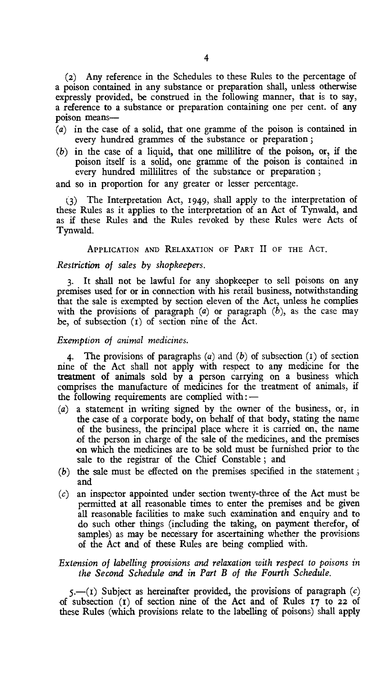(2) Any reference in the Schedules to these Rules to the percentage of a poison contained in any substance or preparation shall, unless otherwise expressly provided, be construed in the following manner, that is to say, a reference to a substance or preparation containing one per cent. of any poison means—

- (a) in the case of a solid, that one gramme of the poison is contained in every hundred grammes of the substance or preparation ;
- (b) in the case of a liquid, that one millilitre of the poison, or, if the poison itself is a solid, one gramme of the poison is contained in every hundred millilitres of the substance or preparation ;

and so in proportion for any greater or lesser percentage.

The Interpretation Act, 1949, shall apply to the interpretation of these Rules as it applies to the interpretation of an Act of Tynwald, and as if these Rules and the Rules revoked by these Rules were Acts of Tynwald.

APPLICATION AND RELAXATION OF PART II OF THE ACT.

#### *Restriction of sales by shopkeepers.*

3. It shall not be lawful for any shopkeeper to sell poisons on any premises used for or in connection with his retail business, notwithstanding that the sale is exempted by section eleven of the Act, unless he complies with the provisions of paragraph (a) or paragraph *(b),* as the case may be, of subsection (t) of section pine of the Act.

#### *Exemption of animal medicines.*

4. The provisions of paragraphs *(a)* and *(b)* of subsection (1) of section nine of the Act shall not apply with respect to any medicine for the treatment of animals sold by a person carrying on a business which comprises the manufacture of medicines for the treatment of animals, if the following requirements are complied with : -  $\sigma$ comprises the manufacture of medicines for the treatment of animals, if the following requirements are complied with: $\frac{1}{1-\epsilon}$ 

- (a) a statement in writing signed by the owner of the business, or, in the case of a corporate body, on behalf of that body, stating the name of the business, the principal place where it is carried on, the name of the person in charge of the sale of the medicines, and the premises on which the medicines are to be sold must be furnished prior to the sale to the registrar of the Chief Constable ; and
- $(b)$  the sale must be effected on the premises specified in the statement; and
- (c) an inspector appointed under section twenty-three of the Act must be permitted at all reasonable times to enter the premises and be given all reasonable facilities to make such examination and enquiry and to do such other things (including the taking, on payment therefor, of samples) as may be necessary for ascertaining whether the provisions of the Act and of these Rules are being complied with.

# *Extension of labelling provisions and relaxation with respect to poisons in the Second Schedule and in Part B of the Fourth Schedule.*

*5.—(i)* Subject as hereinafter provided, the provisions of paragraph *(c)*  of subsection (1) of section nine of the Act and of Rules 17 to 22 of these Rules (which provisions relate to the labelling of poisons) shall apply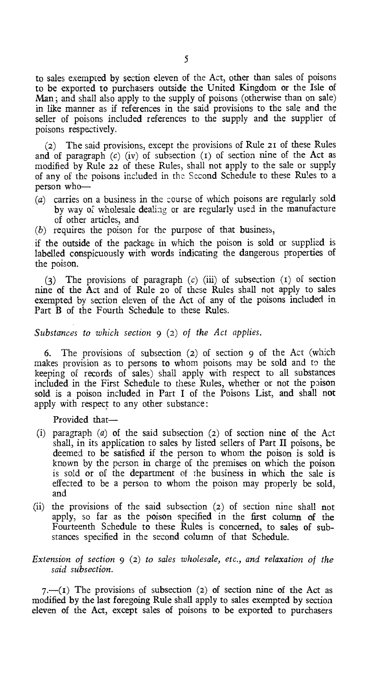to sales exempted by section eleven of the Act, other than sales of poisons to be exported to purchasers outside the United Kingdom or the Isle of Man; and shall also apply to the supply of poisons (otherwise than on sale) in like manner as if references in the said provisions to the sale and the seller of poisons included references to the supply and the supplier of poisons respectively.

(2) The said provisions, except the provisions of Rule 21 of these Rules and of paragraph *(c)* (iv) of subsection (r) of section nine of the Act as modified by Rule 22 of these Rules, shall not apply to the sale or supply of any of the poisons included in the Second Schedule to these Rules to a person who—

- (a) carries on a business in the course of which poisons are regularly sold by way of wholesale dealing or are regularly used in the manufacture of other articles, and
- (b) requires the poison for the purpose of that business,

if the outside of the package in which the poison is sold or supplied is labelled conspicuously with words indicating the dangerous properties of the poison.

(3) The provisions of paragraph *(c)* (iii) of subsection (t) of section nine of the Act and of Rule 20 of these Rules shall not apply to sales exempted by section eleven of the Act of any of the poisons included in Part B of the Fourth Schedule to these Rules.

## *Substances to which section* 9 (2) *of the Act applies.*

6. The provisions of subsection (2) of section 9 of the Act (which makes provision as to persons to whom poisons may be sold and to the keeping of records of sales) shall apply with respect to all substances included in the First Schedule to these Rules, whether or not the poison sold is a poison included in Part I of the Poisons List, and shall not apply with respect to any other substance:

Provided that—

- (i) paragraph *(a)* of the said subsection (2) of section nine of the Act shall, in its application to sales by listed sellers of Part II poisons, be deemed to be satisfied if the person to whom the poison is sold is known by the person in charge of the premises on which the poison is sold or of the department of the business in which the sale is effected to be a person to whom the poison may properly be sold, and
- (ii) the provisions of the said subsection (2) of section nine shall not apply, so far as the poison specified in the first column of the Fourteenth Schedule to these Rules is concerned, to sales of substances specified in the second column of that Schedule.

# *Extension of section* 9 (2) *to sales wholesale, etc., and relaxation of the said subsection.*

*7.—(I)* The provisions of subsection (2) of section nine of the Act as modified by the last foregoing Rule shall apply to sales exempted by section eleven of the Act, except sales of poisons to be exported to purchasers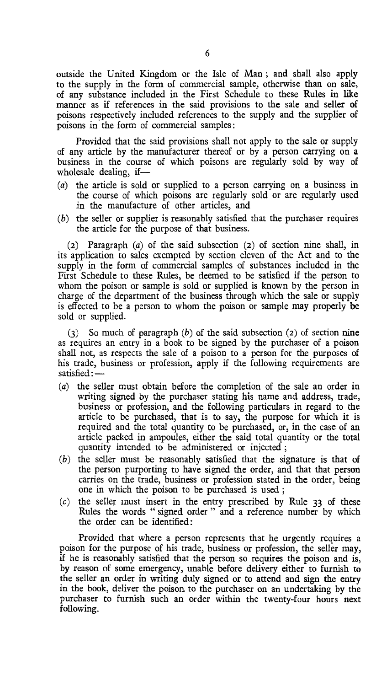outside the United Kingdom or the Isle of Man ; and shall also apply to the supply in the form of commercial sample, otherwise than on sale, of any substance included in the First Schedule to these Rules in like manner as if references in the said provisions to the sale and seller of poisons respectively included references to the supply and the supplier of poisons in the form of commercial samples:

Provided that the said provisions shall not apply to the sale or supply of any article by the manufacturer thereof or by a person carrying on a business in the course of which poisons are regularly sold by way of wholesale dealing, if—

- (a) the article is sold or supplied to a person carrying on a business in the course of which poisons are regularly sold or are regularly used in the manufacture of other articles, and
- (b) the seller or supplier is reasonably satisfied that the purchaser requires the article for the purpose of that business.

(2) Paragraph *(a)* of the said subsection (2) of section nine shall, in its application to sales exempted by section eleven of the Act and to the supply in the form of commercial samples of substances included in the First Schedule to these Rules, be deemed to be satisfied if the person to whom the poison or sample is sold or supplied is known by the person in charge of the department of the business through which the sale or supply is effected to be a person to whom the poison or sample may properly be sold or supplied.

(3) So much of paragraph *(b)* of the said subsection (2) of section nine as requires an entry in a book to be signed by the purchaser of a poison shall not, as respects the sale of a poison to a person for the purposes of his trade, business or profession, apply if the following requirements are satisfied :  $-$ <br>(a) the saller must obtain before the completion of the his trade, business or profession, apply if the following requirements are satisfied:—

- (a) the seller must obtain before the completion of the sale an order in writing signed *by* the purchaser stating his name and address, trade, business or profession, and the following particulars in regard to the article to be purchased, that is to say, the purpose for which it is required and the total quantity to be purchased, or, in the case of an article packed in ampoules, either the said total quantity or the total quantity intended to be administered or injected ;
- (b) the seller must be reasonably satisfied that the signature is that of the person purporting to have signed the order, and that that person carries on the trade, business or profession stated in the order, being one in which the poison to be purchased is used ;
- (c) the seller must insert in the entry prescribed by Rule 33 of these Rules the words " signed order " and a reference number by which the order can be identified:

Provided that where a person represents that he urgently requires a poison for the purpose of his trade, business or profession, the seller may, if he is reasonably satisfied that the person so requires the poison and is, by reason of some emergency, unable before delivery either to furnish to the seller an order in writing duly signed or to attend and sign the entry in the book, deliver the poison, to the purchaser on an undertaking by the purchaser to furnish such an order within the twenty-four hours next following.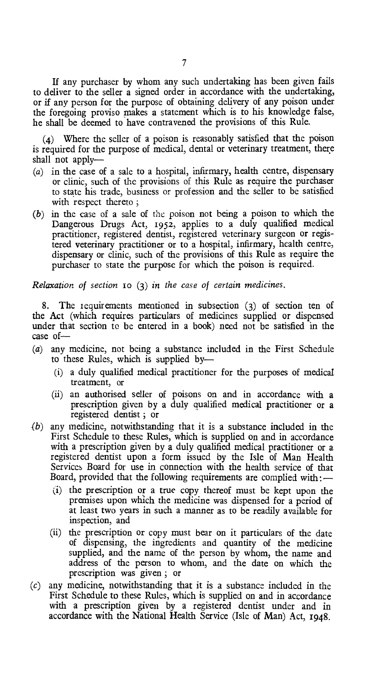If any purchaser by whom any such undertaking has been given fails to deliver to the seller a signed order in accordance with the undertaking, or if any person for the purpose of obtaining delivery of any poison under the foregoing proviso makes a statement which is to his knowledge false, he shall be deemed to have contravened the provisions of this Rule.

(4) Where the seller of a poison is reasonably satisfied that the poison is required for the purpose of medical, dental or veterinary treatment, there shall not apply—

- (a) in the case of a sale to a hospital, infirmary, health centre, dispensary or clinic, such of the provisions of this Rule as require the purchaser to state his trade, business or profession and the seller to be satisfied with respect thereto;
- (b) in the case of a sale of the poison not being a poison to which the Dangerous Drugs Act, 1952, applies to a duly qualified medical practitioner, registered dentist, registered veterinary surgeon or registered veterinary practitioner or to a hospital, infirmary, health centre, dispensary or clinic, such of the provisions of this Rule as require the purchaser to state the purpose for which the poison is required.

*Relaxation of section io* (3) *in the case of certain medicines.* 

8. The requirements mentioned in subsection (3) of section ten of the Act (which requires particulars of medicines supplied or dispensed under that section to be entered in a book) need not be satisfied in the case of—

- (a) any medicine, not being a substance included in the First Schedule to these Rules, which is supplied by—
	- (i) a duly qualified medical practitioner for the purposes of medical treatment, or
	- (ii) an authorised seller of poisons on and in accordance with a prescription given by a duly qualified medical practitioner or a registered dentist ; or
- *(b)* any medicine, notwithstanding that it is a substance included in the First Schedule to these Rules, which is supplied on and in accordance with a prescription given by a duly qualified medical practitioner or a registered dentist upon a form issued by the Isle of Man Health Services Board for use in connection with the health service of that Board, provided that the following requirements are complied with :—
	- (i) the prescription or a true copy thereof must be kept upon the premises upon which the medicine was dispensed for a period of at least two years in such a manner as to be readily available for inspection, and
	- (ii) the prescription or copy must bear on it particulars of the date of dispensing, the ingredients and quantity of the medicine supplied, and the name of the person by whom, the name and address of the person to whom, and the date on which the prescription was given ; or
- *(c)* any medicine, notwithstanding that it is a substance included in the First Schedule to these Rules, which is supplied on and in accordance with a prescription given by a registered dentist under and in accordance with the National Health Service (Isle of Man) Act, 1948.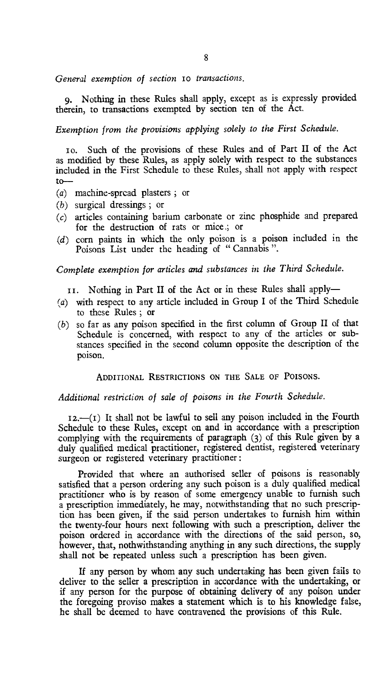General exemption of section 10 transactions.

9. Nothing in these Rules shall apply, except as is expressly provided therein, to transactions exempted by section ten of the Act.

*Exemption from the provisions applying solely to the First Schedule.* 

o. Such of the provisions of these Rules and of Part II of the Act as modified by these Rules, as apply solely with respect to the substances included in the First Schedule to these Rules, shall not apply with respect to—

- (a) machine-spread plasters ; or
- (b) surgical dressings ; or
- $(c)$  articles containing barium carbonate or zinc phosphide and prepared for the destruction of rats or mice ; or
- (d) corn paints in which the only poison is a poison included in the Poisons List under the heading of "Cannabis".

*Complete exemption for articles and substances in the Third Schedule.* 

I. Nothing in Part II of the Act or in these Rules shall apply—

- (a) with respect to any article included in Group I of the Third Schedule to these Rules ; or
- (b) so far as any poison specified in the first column of Group II of that Schedule is concerned, with respect to any of the articles or substances specified in the second column opposite the description of the poison.

ADDITIONAL RESTRICTIONS ON THE SALE OF POISONS.

*Additional restriction of sale of poisons in the Fourth Schedule.* 

 $I_2$ ,  $\left($  $I_1$ ) It shall not be lawful to sell any poison included in the Fourth Schedule to these Rules, except on and in accordance with a prescription complying with the requirements of paragraph (3) of this Rule given by a duly qualified medical practitioner, registered dentist, registered veterinary surgeon or registered veterinary practitioner :

Provided that where an authorised seller of poisons is reasonably satisfied that a person ordering any such poison is a duly qualified medical practitioner who is by reason of some emergency unable to furnish such a prescription immediately, he may, notwithstanding that no such prescription has been given, if the said person undertakes to furnish him within the twenty-four hours next following with such a prescription, deliver the poison ordered in accordance with the directions of the said person, so, however, that, nothwithstanding anything in any such directions, the supply shall not be repeated unless such a prescription has been given.

If any person by whom any such undertaking has been given fails to deliver to the seller a prescription in accordance with the undertaking, or if any person for the purpose of obtaining delivery of any poison under the foregoing proviso makes a statement which is to his knowledge false, he shall be deemed to have contravened the provisions of this Rule.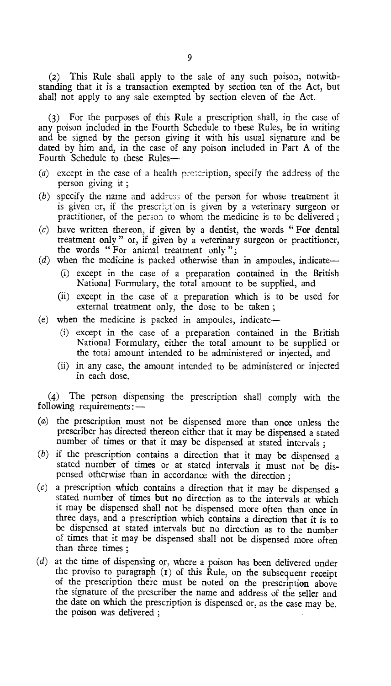(2) This Rule shall apply to the sale of any such poison, notwithstanding that it is a transaction exempted by section ten of the Act, but shall not apply to any sale exempted by section eleven of the Act.

(3) For the purposes of this Rule a prescription shall, in the case of any poison included in the Fourth Schedule to these Rules, be in writing and be signed by the person giving it with his usual signature and be dated by him and, in the case of any poison included in Part A of the Fourth Schedule to these Rules-

- *(a)* except in the case of a health prescription, specify the address of the person giving it ;
- *(b)* specify the name and address of the person for whose treatment it is given or, if the prescription is given by a veterinary surgeon or practitioner, of the person to whom the medicine is to be delivered ;
- *(c)* have written thereon, if given by a dentist, the words " For dental treatment only " or, if given by a veterinary surgeon or practitioner, the words " For animal treatment only ";
- *(d)* when the medicine is packed otherwise than in ampoules, indicate—
	- (i) except in the case of a preparation contained in the British National Formulary, the total amount to be supplied, and
	- (ii) except in the case of a preparation which is to be used for external treatment only, the dose to be taken ;
- (e) when the medicine is packed in ampoules, indicate—
	- (i) except in the case of a preparation contained in the British National Formulary, either the total amount to be supplied or the total amount intended to be administered or injected, and
	- (ii) in any case, the amount intended to be administered or injected in each dose.

(4) The person dispensing the prescription shall comply with the following requirements:—

- (a) the prescription must not be dispensed more than once unless the number of times or that it may be dispensed at stated intervals ; prescriber has directed thereon either that it may be dispensed a stated
- (b) if the prescription contains a direction that it may be dispensed a stated number of times or at stated intervals it must not be dispensed otherwise than in accordance with the direction ;
- (c) a prescription which contains a direction that it may be dispensed a stated number of times but no direction as to the intervals at which it may be dispensed shall not be dispensed more often than once in three days, and a prescription which contains a direction that it is to be dispensed at stated intervals but no direction as to the number of times that it may be dispensed shall not be dispensed more often than three times ;
- (d) at the time of dispensing or, where a poison has been delivered under the proviso to paragraph  $(r)$  of this Rule, on the subsequent receipt of the prescription there must be noted on the prescription above the signature of the prescriber the name and address of the seller and the date on which the prescription is dispensed or, as the case may be, the poison was delivered ;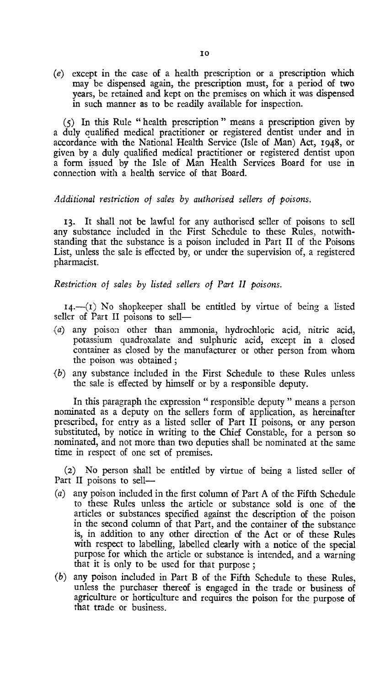*(e)* except in the case of a health prescription or a prescription which may be dispensed again, the prescription must, for a period of two years, be retained and kept on the premises on which it was dispensed in such manner as to be readily available for inspection.

(5) In this Rule " health prescription " means a prescription given by a duly qualified medical practitioner or registered dentist under and in accordance with the National Health Service (Isle of Man) Act, 1948, or given by a duly qualified medical practitioner or registered dentist upon a form issued by the Isle of Man Health Services Board for use in connection with a health service of that Board.

# *Additional restriction of sales by authorised sellers of poisons.*

13. It shall not be lawful for any authorised seller of poisons to sell any substance included in the First Schedule to these Rules, notwithstanding that the substance is a poison included in Part II of the Poisons List, unless the sale is effected by, or under the supervision of, a registered pharmacist.

## *Restriction of sales by listed sellers of Part II poisons.*

 $14.$ —(I) No shopkeeper shall be entitled by virtue of being a listed seller of Part II poisons to sell—

- (a) any poison other than ammonia, hydrochloric acid, nitric acid, potassium quadroxalate and sulphuric acid, except in a closed container as closed by the manufacturer or other person from whom the poison was obtained ;
- (b) any substance included in the First Schedule to these Rules unless the sale is effected by himself or by a responsible deputy.

**In** this paragraph the expression " responsible deputy " means a person nominated as a deputy on the sellers form of application, as hereinafter prescribed, for entry as a listed seller of Part II poisons, **or** any person substituted, by notice in writing to the Chief Constable, for a person so nominated, and not more than two deputies shall be nominated at the same time in respect of one set of premises.

(2) No person shall be entitled by virtue of being a listed seller of Part II poisons to sell—

- (a) any poison included in the first column of Part A of the Fifth Schedule to these Rules unless the article or substance sold is one of the articles or substances specified against the description of the poison in the second column of that Part, and the container of the substance is, in addition to any other direction of the Act or of these Rules with respect to labelling, labelled clearly with a notice of the special purpose for which the article or substance is intended, and a warning that it is only to be used for that purpose ;
- (b) any poison included in Part B of the Fifth Schedule to these Rules, unless the purchaser thereof is engaged in the trade or business of agriculture or horticulture and requires the poison for the purpose of that trade or business.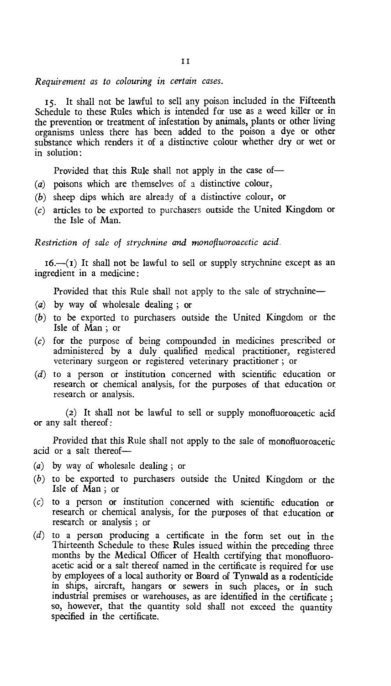## *Requirement as to colouring in certain cases.*

15. It shall not be lawful to sell any poison included in the Fifteenth Schedule to these Rules which is intended for use as a weed killer or in the prevention or treatment of infestation by animals, plants or other living organisms unless there has been added to the poison a dye or other substance which renders it of a distinctive colour whether dry or wet or in solution:

Provided that this Rule shall not apply in the case of—

- (a) poisons which are themselves of a distinctive colour,
- (b) sheep dips which are already of a distinctive colour, or
- (c) articles to be exported to purchasers outside the United Kingdom or the Isle of Man.

*Restriction of sale of strychnine and monofluoroacetic acid.* 

 $16.$ —( $i$ ) It shall not be lawful to sell or supply strychnine except as an ingredient in a medicine :

Provided that this Rule shall not apply to the sale of strychnine—

- (a) by way of wholesale dealing ; or
- (b) to be exported to purchasers outside the United Kingdom or the Isle of Man ; or
- (c) for the purpose of being compounded in medicines prescribed or administered by a duly qualified medical practitioner, registered veterinary surgeon or registered veterinary practitioner ; or
- (d) to a person or institution concerned with scientific education or research or chemical analysis, for the purposes of that education or research or analysis.

(2) It shall not be lawful to sell or supply monofluoroacetic acid or any salt thereof:

Provided that this Rule shall not apply to the sale of monofluoroacetic acid or a salt thereof—

- by way of wholesale dealing ; or *(a)*
- to be exported to purchasers outside the United Kingdom or the *(b)* Isle of Man ; or
- (c) to a person or institution concerned with scientific education or research or chemical analysis, for the purposes of that education or research or analysis ; or
- (d) to a person producing a certificate in the form set out in the Thirteenth Schedule to these Rules issued within the preceding three months by the Medical Officer of Health certifying that monofluoroacetic acid or a salt thereof named in the certificate is required for use by employees of a local authority or Board of Tynwald as a rodenticide in ships, aircraft, hangars or sewers in such places, or in such industrial premises or warehouses, as are identified in the certificate ; so, however, that the quantity sold shall not exceed the quantity specified in the certificate.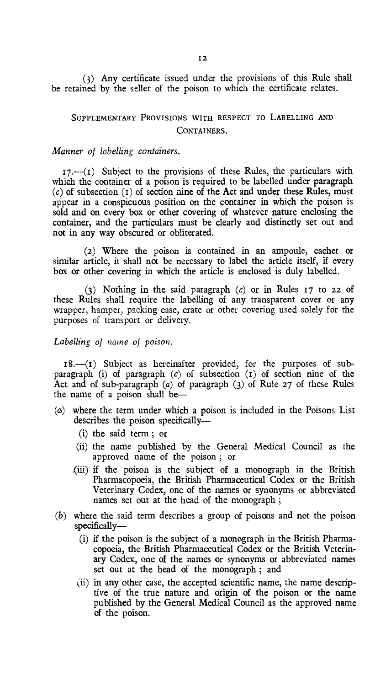(3) Any certificate issued under the provisions of this Rule shall be retained by the seller of the poison to which the certificate relates.

# SUPPLEMENTARY PROVISIONS WITH RESPECT TO LABELLING AND CONTAINERS.

### *Manner of labelling containers.*

 $17.$ -- $(1)$  Subject to the provisions of these Rules, the particulars with which the container of a poison is required to be labelled under paragraph *(c)* of subsection (t) of section nine of the Act and under these Rules, must appear in a conspicuous position on the container in which the poison is sold and on every box or other covering of whatever nature enclosing the container, and the particulars must be clearly and distinctly set out and not in any way obscured or obliterated.

(2) Where the poison is contained in an ampoule, cachet or similar article, it shall not be necessary to label the article itself, if every box or other covering in which the article is enclosed is duly labelled.

(3) Nothing in the said paragraph *(c)* or in Rules 17 to 22 of these Rules shall require the labelling of any transparent cover or any wrapper, hamper, packing case, crate or other covering used solely for the purposes of transport or delivery.

# *Labelling of name of poison.*

18.-(1) Subject as hereinafter provided, for the purposes of subparagraph (i) of paragraph *(c)* of subsection (t) of section nine of the Act and of sub-paragraph (a) of paragraph (3) of Rule 27 of these Rules the name of a poison shall be—

- *(a)* where the term under which a poison is included in the Poisons List describes the poison specifically—
	- (i) the said term ; or
	- (ii) the name published by the General Medical Council as the approved name of the poison ; or
	- $(iii)$  if the poison is the subject of a monograph in the British Pharmacopoeia, the British Pharmaceutical Codex or the British Veterinary Codex, one of the names or synonyms or abbreviated names set out at the head of the monograph ;
- *(b)* where the said term describes a group of poisons and not the poison specifically—
	- (i) if the poison is the subject of a monograph in the British Pharmacopoeia, the British Pharmaceutical Codex or the British Veterinary Codex, one of the names or synonyms or abbreviated names set out at the head of the monograph ; and
	- (ii) in any other case, the accepted scientific name, the name descriptive of the true nature and origin of the poison or the name published by the General Medical Council as the approved name of the poison.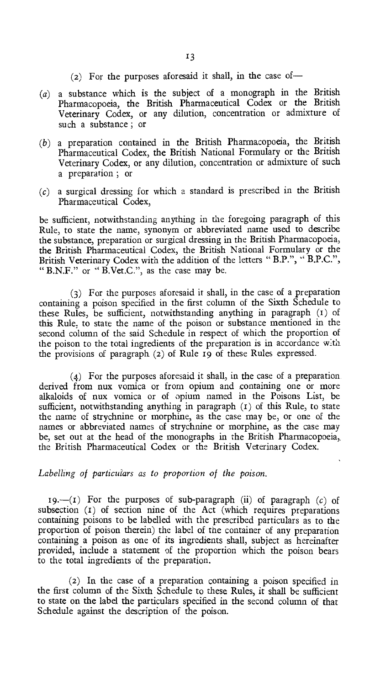- (2) For the purposes aforesaid it shall, in the case of—
- $(a)$  a substance which is the subject of a monograph in the British Pharmacopoeia, the British Pharmaceutical Codex or the British Veterinary Codex, or any dilution, concentration or admixture of such a substance ; or
- (b) a preparation contained in the British Pharmacopoeia, the British Pharmaceutical Codex, the British National Formulary or the British Veterinary Codex, or any dilution, concentration or admixture of such a preparation ; or
- $(c)$  a surgical dressing for which a standard is prescribed in the British Pharmaceutical Codex,

be sufficient, notwithstanding anything in the foregoing paragraph of this Rule, to state the name, synonym or abbreviated name used to describe the substance, preparation or surgical dressing in the British Pharmacopoeia, the British Pharmaceutical Codex, the British National Formulary or the British Veterinary Codex with the addition of the letters " B.P.", " B.P.C.", "B.N.F." or "B.Vet.C.", as the case may be.

(3) For the purposes aforesaid it shall, in the case of a preparation containing a poison specified in the first column of the Sixth Schedule to these Rules, be sufficient, notwithstanding anything in paragraph (i) of this Rule, to state the name of the poison or substance mentioned in the second column of the said Schedule in respect of which the proportion of the poison to the total ingredients of the preparation is in accordance with the provisions of paragraph (2) of Rule 19 of these Rules expressed.

(4) For the purposes aforesaid it shall, in the case of a preparation derived from nux vomica or from opium and containing one or more alkaloids of nux vomica or of opium named in the Poisons List, be sufficient, notwithstanding anything in paragraph (1) of this Rule, to state the name of strychnine or morphine, as the case may be, or one of the names or abbreviated names of strychnine or morphine, as the case may be, set out at the head of the monographs in the British Pharmacopoeia, the British Pharmaceutical Codex or the British Veterinary Codex.

# *Labelling of particulars as to proportion of the poison.*

19.—(I) For the purposes of sub-paragraph (ii) of paragraph *(c)* of subsection (1) of section nine of the Act (which requires preparations containing poisons to be labelled with the prescribed particulars as to the proportion of poison therein) the label of the container of any preparation containing a poison as one of its ingredients shall, subject as hereinafter provided, include a statement of the proportion which the poison bears to the total ingredients of the preparation.

(2) In the case of a preparation containing a poison specified in the first column of the Sixth Schedule to these Rules, it shall be sufficient to state on the label the particulars specified in the second column of that Schedule against the description of the poison.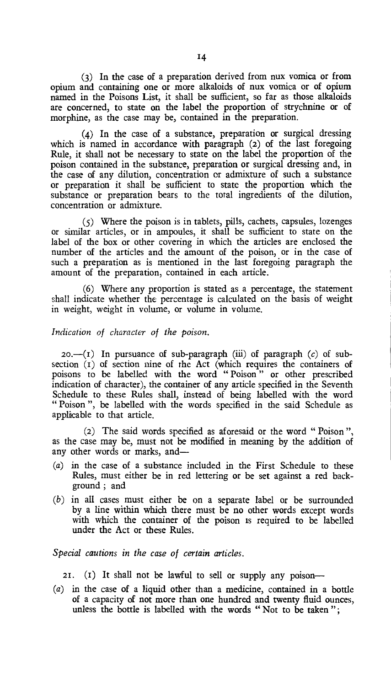(3) In the case of a preparation derived from nux vomica or from opium and containing one or more alkaloids of nux vomica or of opium named in the Poisons List, it shall be sufficient, so far as those alkaloids are concerned, to state on the label the proportion of strychnine or of morphine, as the case may be, contained in the preparation.

(4) In the case of a substance, preparation or surgical dressing which is named in accordance with paragraph (2) of the last foregoing Rule, it shall not be necessary to state on the label the proportion of the poison contained in the substance, preparation or surgical dressing and, in the case of any dilution, concentration or admixture of such a substance or preparation it shall be sufficient to state the proportion which the substance or preparation bears to the total ingredients of the dilution, concentration or admixture.

(5) Where the poison is in tablets, pills, cachets, capsules, lozenges or similar articles, or in ampoules, it shall be sufficient to state on the label of the box or other covering in which the articles are enclosed the number of the articles and the amount of the poison, or in the case of such a preparation as is mentioned in the last foregoing paragraph the amount of the preparation, contained in each article.

(6) Where any proportion is stated as a percentage, the statement shall indicate whether the percentage is calculated on the basis of weight in weight, weight in volume, or volume in volume.

#### *Indication of character of the poison.*

 $20.$ - $(I)$  In pursuance of sub-paragraph *(iii)* of paragraph *(c)* of subsection (1) of section nine of the Act (which requires the containers of poisons to be labelled with the word " Poison " or other prescribed indication of character), the container of any article specified in the Seventh Schedule to these Rules shall, instead of being labelled with the word " Poison ", be labelled with the words specified in the said Schedule as applicable to that article.

(2) The said words specified as aforesaid or the word " Poison ", as the case may be, must not be modified in meaning by the addition of any other words or marks, and—

- (a) in the case of a substance included in the First Schedule to these Rules, must either be in red lettering or be set against a red background ; and
- (b) in all cases must either be on a separate label or be surrounded by a line within which there must be no other words except words with which the container of the poison is required to be labelled under the Act or these Rules.

*Special cautions in the case of certain articles.* 

21. (I) It shall not be lawful to sell or supply any poison—

*(a)* in the case of a liquid other than a medicine, contained in a bottle of a capacity of not more than one hundred and twenty fluid ounces, unless the bottle is labelled with the words " Not to be taken ";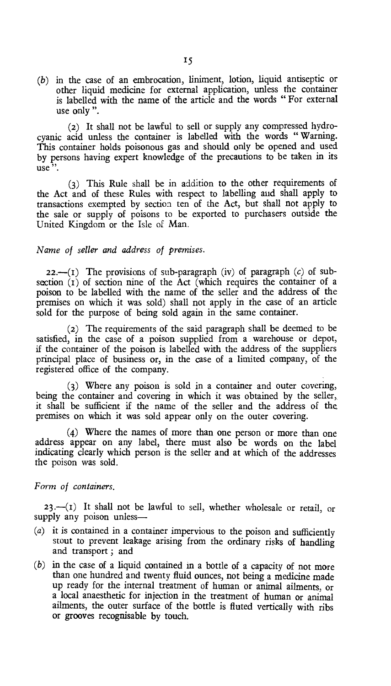*(b)* in the case of an embrocation, liniment, lotion, liquid antiseptic or other liquid medicine for external application, unless the container is labelled with the name of the article and the words " For external use only ".

(2) It shall not be lawful to sell or supply any compressed hydrocyanic acid unless the container is labelled with the words " Warning. This container holds poisonous gas and should only be opened and used by persons having expert knowledge of the precautions to be taken in its use "

(3) This Rule shall be in addition to the other requirements of the Act and of these Rules with respect to labelling and shall apply to transactions exempted by section ten of the Act, but shall not apply to the sale or supply of poisons to be exported to purchasers outside the United Kingdom or the Isle of Man.

# *Name of seller and address of premises.*

**22.-(I)** The provisions of sub-paragraph (iv) of paragraph *(c)* of subsection  $(1)$  of section nine of the Act (which requires the container of a poison to be labelled with the name of the seller and the address of the premises on which it was sold) shall not apply in the case of an article sold for the purpose of being sold again in the same container.

(2) The requirements of the said paragraph shall be deemed to be satisfied, in the case of a poison supplied from a warehouse or depot, if the container of the poison is labelled with the address of the suppliers principal place of business or, in the case of a limited company, of the registered office of the company.

(3) Where any poison is sold in a container and outer covering, being the container and covering in which it was obtained by the seller, it shall be sufficient if the name of the seller and the address of the premises on which it was sold appear only on the outer covering.

(4) Where the names of more than one person or more than one address appear on any label, there must also be words on the label indicating clearly which person is the seller and at which of the addresses the poison was sold.

# *Form of containers.*

 $23.$   $-(1)$  It shall not be lawful to sell, whether wholesale or retail, or supply any poison unless—

- (a) it is contained in a container impervious to the poison and sufficiently stout to prevent leakage arising from the ordinary risks of handling and transport ; and
- (b) in the case of a liquid contained in a bottle of a capacity of not more than one hundred and twenty fluid ounces, not being a medicine made up ready for the internal treatment of human or animal ailments, or a local anaesthetic for injection in the treatment of human or animal ailments, the outer surface of the bottle is fluted vertically with ribs or grooves recognisable by touch.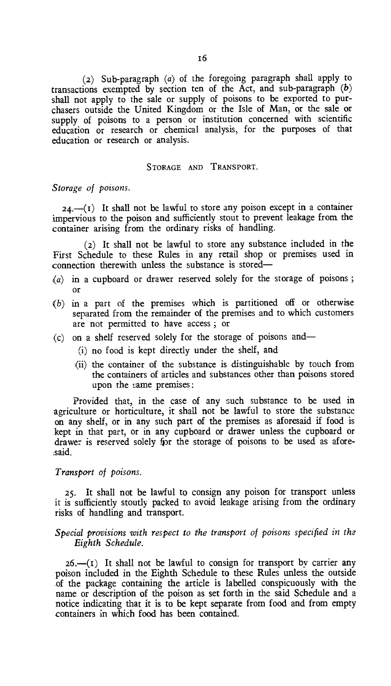(2) Sub-paragraph (a) of the foregoing paragraph shall apply to transactions exempted by section ten of the Act, and sub-paragraph *(b)*  shall not apply to the sale or supply of poisons to be exported to purchasers outside the United Kingdom or the Isle of Man, or the sale or supply of poisons to a person or institution concerned with scientific education or research or chemical analysis, for the purposes of that education or research or analysis.

#### STORAGE AND TRANSPORT.

*Storage of poisons.* 

 $24$ .-(I) It shall not be lawful to store any poison except in a container impervious to the poison and sufficiently stout to prevent leakage from the container arising from the ordinary risks of handling.

(2) It shall not be lawful to store any substance included in the First Schedule to these Rules in any retail shop or premises used in connection therewith unless the substance is stored—

- (a) in a cupboard or drawer reserved solely for the storage of poisons ; or
- (b) in a part of the premises which is partitioned off or otherwise separated from the remainder of the premises and to which customers are not permitted to have access ; or
- (c) on a shelf reserved solely for the storage of poisons and—
	- (i) no food is kept directly under the shelf, and
	- (ii) the container of the substance is distinguishable by touch from the containers of articles and substances other than poisons stored upon the same premises :

Provided that, in the case of any such substance to be used in agriculture or horticulture, it shall not be lawful to store the substance on any shelf, or in any such part of the premises as aforesaid if food is kept in that part, or in any cupboard or drawer unless the cupboard or drawer is reserved solely fpr the storage of poisons to be used as aforesaid.

## *Transport of poisons.*

25. It shall not be lawful to consign any poison for transport unless it is sufficiently stoutly packed to avoid leakage arising from the ordinary risks of handling and transport.

# *Special provisions with respect to the transport of poisons specified in the Eighth Schedule.*

 $26$ —(I) It shall not be lawful to consign for transport by carrier any poison included in the Eighth Schedule to these Rules unless the outside of the package containing the article is labelled conspicuously with the name or description of the poison as set forth in the said Schedule and a notice indicating that it is to be kept separate from food and from empty containers in which food has been contained.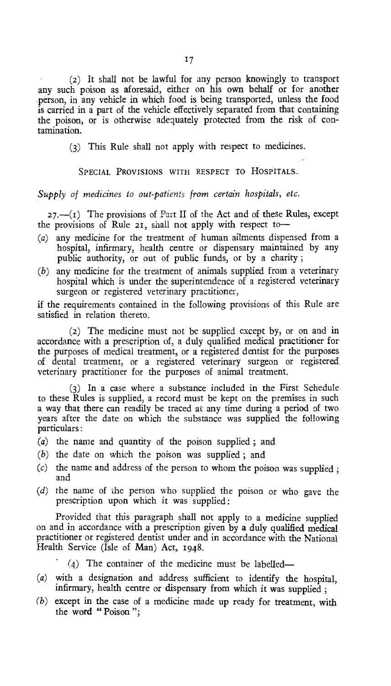(2) It shall not be lawful for any person knowingly to transport any such poison as aforesaid, either on his own behalf or for another person, in any vehicle in which food is being transported, unless the food is carried in a part of the vehicle effectively separated from that containing the poison, or is otherwise adequately protected from the risk of contamination.

(3) This Rule shall not apply with respect to medicines.

### SPECIAL PROVISIONS WITH RESPECT TO HOSPITALS.

# *Supply of medicines to out-patients from certain hospitals, etc.*

 $27.$ — $(I)$  The provisions of Part II of the Act and of these Rules, except the provisions of Rule 21, shall not apply with respect to—

- (a) any medicine for the treatment of human ailments dispensed from a hospital, infirmary, health centre or dispensary maintained by any public authority, or out of public funds, or by a charity ;
- (b) any medicine for the treatment of animals supplied from a veterinary hospital which is under the superintendence of a registered veterinary surgeon or registered veterinary practitioner,

if the requirements contained in the following provisions of this Rule are satisfied in relation thereto.

(2) The medicine must not be supplied except by, or on and in accordance with a prescription of, a duly qualified medical practitioner for the purposes of medical treatment, or a registered dentist for the purposes. of dental treatment, or a registered veterinary surgeon or registered veterinary practitioner for the purposes of animal treatment.

(3) In a case where a substance included in the First Schedule to these Rules is supplied, a record must be kept on the premises in such a way that there can readily be traced at any time during a period of two years after the date on which the substance was supplied the following particulars :

- (a) the name and quantity of the poison supplied ; and
- (b) the date on which the poison was supplied ; and
- $(c)$  the name and address of the person to whom the poison was supplied ; and
- (d) the name of the person who supplied the poison or who gave the prescription upon which it was supplied:

Provided that this paragraph shall not apply to a medicine supplied on and in accordance with a prescription given by a duly qualified *medical*  practitioner or registered dentist under and in accordance with the National Health Service (Isle of Man) Act, 1948.

(4) The container of the medicine must be labelled—

- (a) with a designation and address sufficient to identify the hospital, infirmary, health centre or dispensary from which it was supplied ;
- $(b)$  except in the case of a medicine made up ready for treatment, with the word "Poison";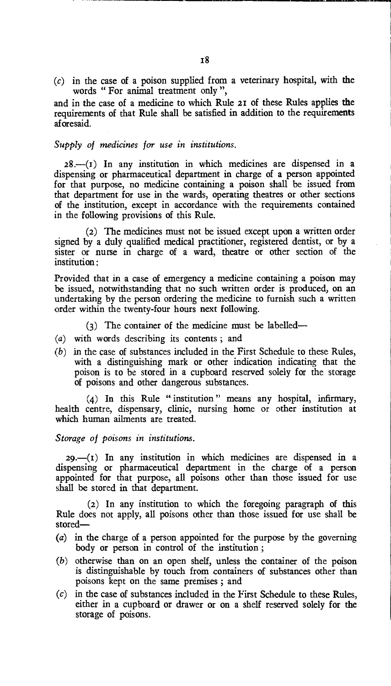*(c)* in the case of a poison supplied from a veterinary hospital, with the words " For animal treatment only ",

and in the case of a medicine to which Rule **21** of these Rules applies the requirements of that Rule shall be satisfied in addition to the requirements aforesaid.

# *Supply of medicines for use in institutions.*

 $28$ — $(I)$  In any institution in which medicines are dispensed in a dispensing or pharmaceutical department in charge of a person appointed for that purpose, no medicine containing a poison shall be issued from that department for use in the wards, operating theatres or other sections of the institution, except in accordance with the requirements contained in the following provisions of this Rule.

(2) The medicines must not be issued except upon a written order signed by a duly qualified medical practitioner, registered dentist, or by a sister or nurse in charge of a ward, theatre or other section of the institution ·

Provided that in a case of emergency a medicine containing a poison may be issued, notwithstanding that no such written order is produced, on an undertaking by the person ordering the medicine to furnish such a written order within the twenty-four hours next following.

- (3) The container of the medicine must be labelled—
- **(a) with** words describing its contents ; and
- $(b)$  in the case of substances included in the First Schedule to these Rules, with a distinguishing mark or other indication indicating that the poison is to be stored in a cupboard reserved solely for the storage of poisons and other dangerous substances.

(4) In this Rule " institution " means any hospital, infirmary, health centre, dispensary, clinic, nursing home or other institution at which human ailments are treated.

*Storage of poisons in institutions.* 

*29.—(I)* In any institution in which medicines are dispensed in a dispensing or pharmaceutical department in the charge of a person appointed for that purpose, all poisons other than those issued for use shall be stored in that department.

**(2)** In any institution to which the foregoing paragraph of this Rule does not apply, all poisons other than those issued for use shall be stored—

- (a) in the charge of a person appointed for the purpose by the governing body or person in control of the institution ;
- (b) otherwise than on an open shelf, unless the container of the poison is distinguishable by touch from containers of substances other than poisons kept on the same premises ; and
- (c) in the case of substances included in the First Schedule to these Rules, either in a cupboard or drawer or on a shelf reserved solely for the storage of poisons.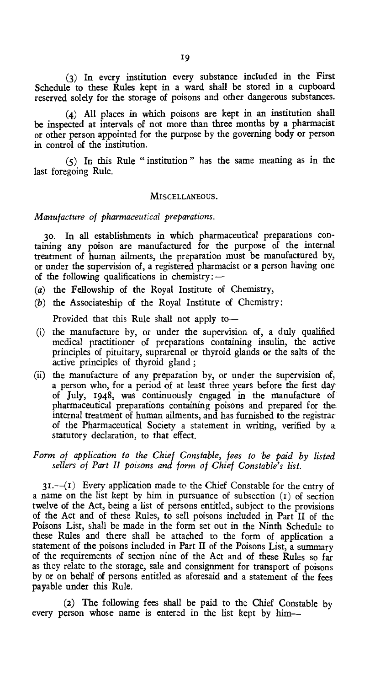(3) In every institution every substance included in the First Schedule to these Rules kept in a ward shall be stored in a cupboard reserved solely for the storage of poisons and other dangerous substances.

(4) All places in which poisons are kept in an institution shall be inspected at intervals of not more than three months by a pharmacist or other person appointed for the purpose by the governing body or person in control of the institution.

(5) In this Rule " institution " has the same meaning as in the last foregoing Rule.

### MISCELLANEOUS.

*Manufacture of pharmaceutical preparations.* 

3o. In all establishments in which pharmaceutical preparations containing any poison are manufactured for the purpose of the internal treatment of human ailments, the preparation must be manufactured by, or under the supervision of, a registered pharmacist or a person having one of the following qualifications in chemistry: $-$ 

- (a) the Fellowship of the Royal Institute of Chemistry,
- (b) the Associateship of the Royal Institute of Chemistry:

Provided that this Rule shall not apply to—

- (i) the manufacture by, or under the supervision of, a duly qualified medical practitioner of preparations containing insulin, the active principles of pituitary, suprarenal or thyroid glands or the salts of the active principles of thyroid gland ;
- (ii) the manufacture of any preparation by, or under the supervision of, a person who, for a period of at least three years before the first day of July, 1948, was continuously engaged in the manufacture of pharmaceutical preparations containing poisons and prepared for the internal treatment of human ailments, and has furnished to the registrar of the Pharmaceutical Society a statement in writing, verified by a statutory declaration, to that effect.

# *Form of application to the Chief Constable, fees to be paid by listed sellers of Part II poisons and form of Chief Constable's list.*

 $31.$ —(I) Every application made to the Chief Constable for the entry of a name on the list kept by him in pursuance of subsection (r) of section twelve of the Act, being a list of persons entitled, subject to the provisions of the Act and of these Rules, to sell poisons included in Part II of the Poisons List, shall be made in the form set out in the Ninth Schedule to these Rules and there shall be attached to the form of application a statement of the poisons included in Part II of the Poisons List, a summary of the requirements of section nine of the Act and of these Rules so far as they relate to the storage, sale and consignment for transport of poisons by or on behalf of persons entitled as aforesaid and a statement of the fees payable under this Rule.

(2) The following fees shall be paid to the Chief Constable by every person whose name is entered in the list kept by him-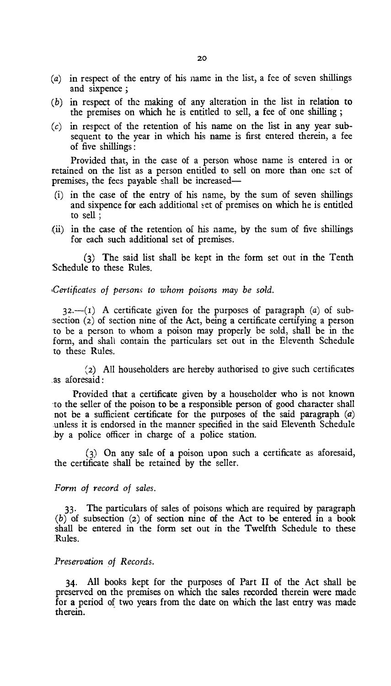- (a) in respect of the entry of his name in the list, a fee of seven shillings and sixpence ;
- (b) in respect of the making of any alteration in the list in relation to the premises on which he is entitled to sell, a fee of one shilling ;
- $(c)$  in respect of the retention of his name on the list in any year subsequent to the year in which his name is first entered therein, a fee of five shillings :

Provided that, in the case of a person whose name is entered in or retained on the list as a person entitled to sell on more than one szt of premises, the fees payable shall be increased—

- (i) in the case of the entry of his name, by the sum of seven shillings and sixpence for each additional set of premises on which he is entitled to sell ;
- (ii) in the case of the retention of his name, by the sum of five shillings for each such additional set of premises.

(3) The said list shall be kept in the form set out in the Tenth Schedule to these Rules.

*Certificates of persons to whom poisons may be sold.* 

32.—(I) A certificate given for the purposes of paragraph *(a)* of subsection (2) of section nine of the Act, being a certificate certifying a person to be a person to whom a poison may properly be sold, shall be in the form, and shall contain the particulars set out in the Eleventh Schedule to these Rules.

(2) All householders are hereby authorised to give such certificates as aforesaid:

Provided that a certificate given by a householder who is not known to the seller of the poison to be a responsible person of good character shall not be a sufficient certificate for the purposes of the said paragraph *(a)*  unless it is endorsed in the manner specified in the said Eleventh Schedule by a police officer in charge of a police station.

(3) On any sale of a poison upon such a certificate as aforesaid, the certificate shall be retained by the seller.

*Form of record of sales.* 

33. The particulars of sales of poisons which are required by paragraph *(b)* of subsection (2) of section nine of the Act to be entered in a book shall be entered in the form set out in the Twelfth Schedule to these Rules.

## *Preservation of Records.*

34. All books kept for the purposes of Part II of the Act shall be preserved on the premises on which the sales recorded therein were made for a period of two years from the date on which the last entry was made therein.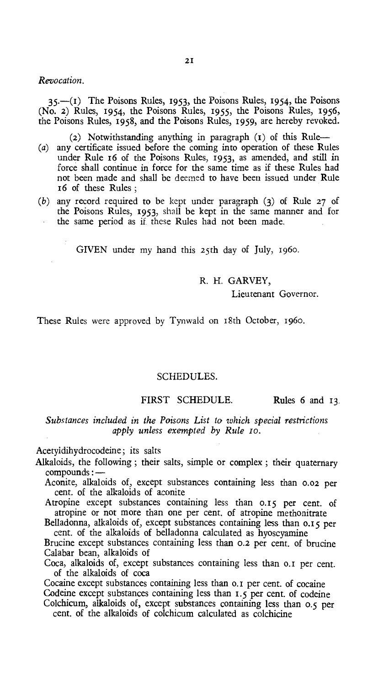#### *Revocation.*

*35.—(I)* The Poisons Rules, 1953 the Poisons Rules, 1954, the Poisons (No. 2) Rules, 1954, the Poisons Rules, 1955, the Poisons Rules, 1956, the Poisons Rules, 1958, and the Poisons Rules, 1959, are hereby revoked.

(2) Notwithstanding anything in paragraph (1) of this Rule—

- (a) any certificate issued before the coming into operation of these Rules under Rule 16 of the Poisons Rules, 1953, as amended, and still in force shall continue in force for the same time as if these Rules had not been made and shall be deemed to have been issued under Rule 16 of these Rules ;
- (b) any record required to be kept under paragraph (3) of Rule 27 of the Poisons Rules, 1953, shall be kept in the same manner and for the same period as if these Rules had not been made.

GIVEN under my hand this 25th day of July, 1960.

# R. H. GARVEY,

Lieutenant Governor.

These Rules were approved by Tynwald on 18th October, 1960.

### SCHEDULES.

# FIRST SCHEDULE. Rules 6 and 13.

*Substances included in the Poisons List to which special restrictions apply unless exempted by Rule ro.* 

#### Acetyidihydrocodeine; its salts

Alkaloids, the following ; their salts, simple or complex ; their quaternary compounds :—

Aconite, alkaloids of, except substances containing less than 0.02 per cent. of the alkaloids of aconite

Atropine except substances containing less than o.15 per cent. of atropine or not more than one per cent. of atropine methonitrate

Belladonna, alkaloids of, except substances containing less than 0.15 per cent. of the alkaloids of belladonna calculated as hyoscyamine

Brucine except substances containing less than 0.2 per cent. of brucine Calabar bean, alkaloids of

Coca, alkaloids of, except substances containing less than o.i per cent. of the alkaloids of coca

Cocaine except substances containing less than 0.1 per cent. of cocaine Codeine except substances containing less than 1.5 per cent. of codeine Colchicum, alkaloids of, except substances containing less than 0.5 per

cent. of the alkaloids of colchicum calculated as colchicine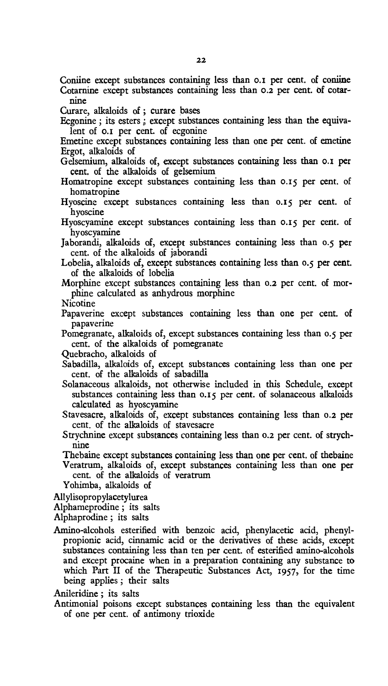Confine except substances containing less than 0.1 per cent. of confine Cotarnine except substances containing less than 0.2 per cent. of cotarnine

Curare, alkaloids of ; curare bases

Ecgonine ; its esters ; except substances containing less than the equivalent of 0.1 per cent. of ecgonine

Emetine except substances containing less than one per cent. of emetine Ergot, alkaloids of

- Gelsemium, alkaloids of, except substances containing less than 0.1 per cent. of the alkaloids of gelsemium
- Homatropine except substances containing less than 0.15 per cent. of homatropine
- Hyoscine except substances containing less than 0.15 per cent. of hyoscine

Hyoscyamine except substances containing less than 0.15 per cent. of hyoscyamine

Jaborandi, alkaloids of, except substances containing less than 0.5 per cent. of the alkaloids of jaborandi

Lobelia, alkaloids of, except substances containing less than 0.5 per cent. of the alkaloids of lobelia

Morphine except substances containing less than **0.2** per cent. of morphine calculated as anhydrous morphine

Nicotine

Papaverine except substances containing less than one per cent. of papaverine

Pomegranate, alkaloids of, except substances containing less than 0.5 per cent. of the alkaloids of pomegranate

Quebracho, alkaloids of

Sabadilla, alkaloids of, except substances containing less than one per cent. of the alkaloids of sabadilla

Solanaceous alkaloids, not otherwise included in this Schedule, except substances containing less than 0.15 per cent. of solanaceous alkaloids calculated as hyoscyamine

Stavesacre, alkaloids of, except substances containing less than **0.2** per cent. of the alkaloids of stavesacre

Strychnine except substances containing less than **0.2** per cent. of strychnine

Thebaine except substances containing less than one per cent. of thebaine Veratrum, alkaloids of, except substances containing less than one per cent. of the alkaloids of veratrum

Yohimba, alkaloids of

Allylisopropylacetylurea

Alphameprodine ; its salts

Alphaprodine ; its salts

Amino-alcohols esterified with benzoic acid, phenylacetic acid, phenylpropionic acid, cinnamic acid or the derivatives of these acids, except substances containing less than ten per cent. of esterified amino-alcohols and except procaine when in a preparation containing any substance to which Part II of the Therapeutic Substances Act, 1957, for the time being applies ; their salts

Anileridine ; its salts

Antimonial poisons except substances containing less than the equivalent of one per cent. of antimony trioxide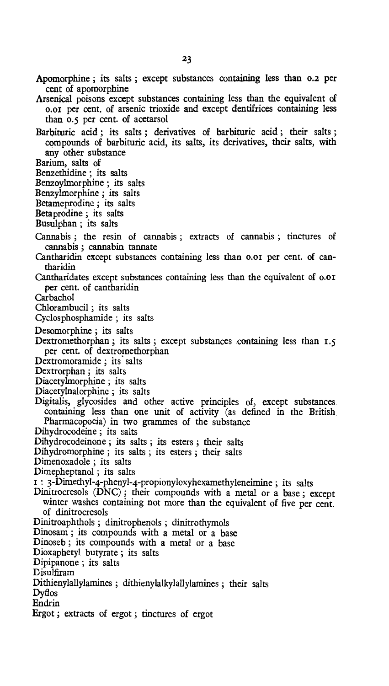- Apomorphine ; its salts ; except substances containing less than 0.2 per cent of apomorphine
- Arsenical poisons except substances containing less than the equivalent of o.ox per cent, of arsenic trioxide and except dentifrices containing less than 0.5 per cent. of acetarsol
- Barbituric acid ; its salts ; derivatives of barbituric acid ; their salts ; compounds of barbituric acid, its salts, its derivatives, their salts, with any other substance
- Barium, salts of
- Benzethidine ; its salts
- Benzoylmorphine ; its salts
- Benzylmorphine ; its salts
- Betameprodine ; its salts
- Betaprodine ; its salts
- Busulphan ; its salts
- Cannabis ; the resin of cannabis ; extracts of cannabis ; tinctures of cannabis ; cannabin tannate
- Cantharidin except substances containing less than 0.01 per cent. of cantharidin
- Cantharidates except substances containing less than the equivalent of 0.01 per cent. of cantharidin
- Carbachol
- Chlorambucil ; its salts
- Cyclosphosphamide ; its salts
- Desomorphine ; its salts
- Dextromethorphan; its salts; except substances containing less than 1.5 per cent. of dextromethorphan
- Dextromoramide ; its salts
- Dextrorphan ; its salts
- Diacetylmorphine ; its salts
- Diacetylnalorphinc ; its salts
- Digitalis, glycosides and other active principles of, except substances containing less than one unit of activity (as defined in the British, Pharmacopoeia) in two grammes of the substance
- Dihydrocodeine ; its salts
- Dihydrocodeinone ; its salts ; its esters ; their salts
- Dihydromorphine ; its salts ; its esters ; their salts
- Dimenoxadole ; its salts
- Dimepheptanol ; its salts
- : 3-Dimethyl-4-phenyl-4-propionyloxyhexamethyleneimine ; its salts
- Dinitrocresols (DNC) ; their compounds with a metal or a base ; except winter washes containing not more than the equivalent of five per cent. of dinitrocresols
- Dinitroaphthols ; dinitrophenols ; dinitrothymols
- Dinosam ; its compounds with a metal or a base
- Dinoseb ; its compounds with a metal or a base
- Dioxaphetyl butyrate ; its salts
- Dipipanone ; its salts
- Disulfiram
- Dithienylallylamines ; dithienylalkylallylamines ; their salts
- Dyflos
- Endrin
- Ergot ; extracts of ergot ; tinctures of ergot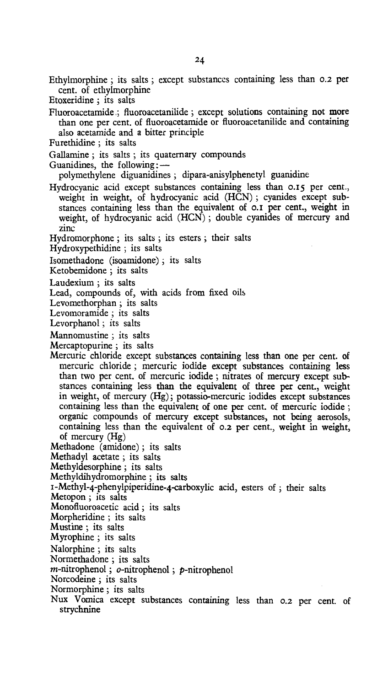Ethylmorphine ; its salts ; except substances containing less than 0.2 per cent. of ethylmorphine

Etoxeridine ; its salts

Fluoroacetamide ; fluoroacetanilide ; except solutions containing not more than one per cent. of fluoroacetamide or fluoroacetanilide and containing also acetamide and a bitter principle

Furethidine ; its salts

Gallamine ; its salts ; its quaternary compounds

Guanidines, the following: —

polymethylene diguanidines ; dipara-anisylphenetyl guanidine

Hydrocyanic acid except substances containing less than 0.15 per cent., weight in weight, of hydrocyanic acid (HCN) ; cyanides except substances containing less than the equivalent of 0.1 per cent., weight in weight, of hydrocyanic acid (HCN) ; double cyanides of mercury and zinc

Hydromorphone ; its salts ; its esters ; their salts

Hydroxypethidine ; its salts

Isomethadone (isoamidone) ; its salts

Ketobemidone ; its salts

Laudexium ; its salts

Lead, compounds of, with acids from fixed oils

Levomethorphan ; its salts

Levomoramide ; its salts

Levorphanol ; its salts

Mannomustine ; its salts

Mercaptopurine ; its salts

Mercuric chloride except substances containing less than one per cent. of mercuric chloride ; mercuric iodide except substances containing less than two per cent. of mercuric iodide ; nitrates of mercury except substances containing less than the equivalent of three per cent., weight in weight, of mercury (Hg); potassio-mercuric iodides except substances containing less than the equivalent of one per cent. of mercuric iodide ; organic compounds of mercury except substances, not being aerosols, containing less than the equivalent of 0.2 per cent., weight in weight, of mercury (Hg)

Methadone (amidone) ; its salts

Methadyl acetate ; its salts

Methyldesorphine ; its salts

Methyldihydromorphine ; its salts

I-Methyl-4-phenylpiperidine-4-carboxylic acid, esters of ; their salts

Metopon ; its salts

Monofluoroacetic acid ; its salts

Morpheridine; its salts

Mustine ; its salts

Myrophine ; its salts

Nalorphine ; its salts

Normethadone ; its salts

 $m$ -nitrophenol;  $o$ -nitrophenol;  $p$ -nitrophenol

Norcodeine ; its salts

Normorphine ; its salts

Nux Vomica except substances containing less than 0.2 per cent. of strychnine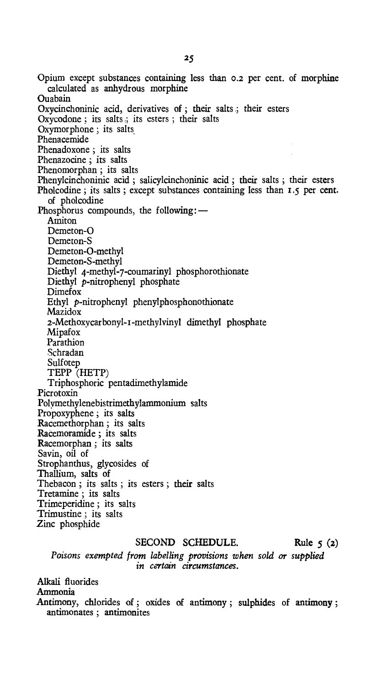Opium except substances containing less than 0.2 per cent. of morphine calculated as anhydrous morphine Ouabain Oxycinchoninic acid, derivatives of ; their salts ; their esters Oxycodone ; its salts .; its esters ; their salts Oxymorphone ; its salts Phenacemide Phenadoxone ; its salts Phenazocine ; its salts Phenomorphan ; its salts Phenylcinchoninic acid ; salicylcinchoninic acid ; their salts ; their esters Pholcodine ; its salts ; except substances containing less than 1.5 per cent. of pholcodine Phosphorus compounds, the following: — Amiton Demeton-O Demeton-S Demeton-O-methyl Demeton-S-methyl Diethyl 4-methyl-7-coumarinyl phosphorothionate Diethyl p-nitrophenyl phosphate Dimefox Ethyl p-nitrophenyl phenylphosphonothionate Mazidox 2-Methoxycarbonyl-r-methylvinyl dimethyl phosphate Mipafox Parathion Schradan Sulfotep TEPP (HETP) Triphosphoric pentadimethylamide Picrotoxin Polymethylenebistrimethylammonium salts Propoxyphene ; its salts Racemethorphan ; its salts Racemoramide ; its salts Racemorphan ; its salts Savin, oil of Strophanthus, glycosides of Thallium, salts of Thebacon ; its salts ; its esters ; their salts Tretamine ; its salts Trimeperidine ; its salts Trimustine ; its salts Zinc phosphide

# SECOND SCHEDULE. Rule 5 (2)

*Poisons exempted from labelling provisions when sold or supplied*  in *certain circumstances.* 

Alkali fluorides Ammonia Antimony, chlorides of ; oxides of antimony ; sulphides of antimony ; antimonates ; antimonites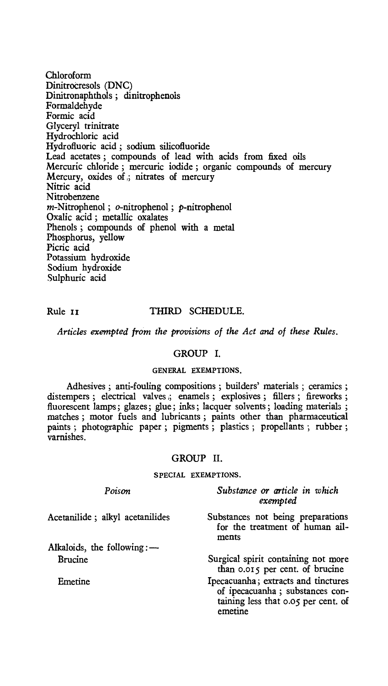Chloroform Dinitrocresols (DNC) Dinitronaphthols ; dinitrophenois Formaldehyde Formic acid Glyceryl trinitrate Hydrochloric acid Hydrofluoric acid ; sodium silicofluoride Lead acetates ; compounds of lead with acids from fixed oils Mercuric chloride ; mercuric iodide ; organic compounds of mercury Mercury, oxides of ,; nitrates of mercury Nitric acid Nitrobenzene m-Nitrophenol; o-nitrophenol; p-nitrophenol Oxalic acid ; metallic oxalates Phenols ; compounds of phenol with a metal Phosphorus, yellow Picric acid Potassium hydroxide Sodium hydroxide Sulphuric acid

# Rule II THIRD SCHEDULE.

*Articles exempted from the provisions of the Act and of these Rules.* 

#### GROUP I.

# GENERAL EXEMPTIONS.

Adhesives ; anti-fouling compositions ; builders' materials ; ceramics ; distempers ; electrical valves ; enamels ; explosives ; fillers ; fireworks ; fluorescent lamps; glazes; glue; inks; lacquer solvents; loading materials ; matches ; motor fuels and lubricants ; paints other than pharmaceutical paints ; photographic paper ; pigments ; plastics ; propellants ; rubber ; varnishes.

# GROUP II.

### SPECIAL EXEMPTIONS.

| Poison                          | Substance or article in which<br>exempted                                                                                |
|---------------------------------|--------------------------------------------------------------------------------------------------------------------------|
| Acetanilide; alkyl acetanilides | Substances not being preparations<br>for the treatment of human ail-<br>ments                                            |
| Alkaloids, the following:-      |                                                                                                                          |
| <b>Brucine</b>                  | Surgical spirit containing not more<br>than 0.015 per cent. of brucine                                                   |
| Emetine                         | Ipecacuanha; extracts and tinctures<br>of ipecacuanha; substances con-<br>taining less that 0.05 per cent. of<br>emetine |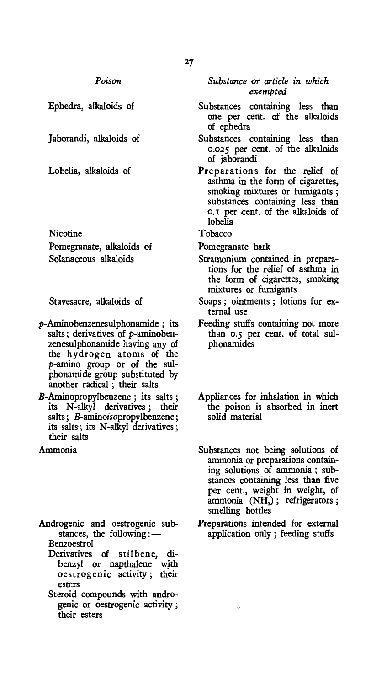Ephedra, alkaloids of

Jaborandi, alkaloids of

Lobelia, alkaloids of

Nicotine Pomegranate, alkaloids of Solanaceous alkaloids

Stavesacre, alkaloids of

- p-Aminobenzenesulphonamide ; its salts; derivatives of  $p$ -aminobenzenesulphonamide having any of the hydrogen atoms of the p-amino group or of the sulphonamide group substituted by another radical ; their salts
- B-Aminopropylbenzene ; its salts ; its N-alkyl derivatives ; their salts; *B*-aminoisopropylbenzene; its salts.; its N-alkyl derivatives; their salts

Ammonia

- Androgenic and oestrogenic substances, the following:— Benzoestrol
	- Derivatives of stilbene, dibenzyl or napthalene with oestrogenic activity ; their esters
	- Steroid compounds with androgenic or oestrogenic activity ; their esters

*Substance or article in which exempted* 

- Substances containing less than one per cent. of the alkaloids of ephedra
- Substances containing less than 0.025 per cent. of the alkaloids of jaborandi
- Preparations for the relief of asthma in the form of cigarettes, smoking mixtures or fumigants ; substances containing less than 0.1 per cent. of the alkaloids of lobelia

Tobacco

- Pomegranate bark
- Stramonium contained in preparations for the relief of asthma in the form of cigarettes, smoking mixtures or fumigants
- Soaps ; ointments ; lotions for external use
- Feeding stuffs containing not more than 0.5 per cent. of total sulphonamides
- Appliances for inhalation in which the poison is absorbed in inert solid material
- Substances not being solutions of ammonia or preparations containing solutions of ammonia ; substances containing less than five per cent., weight in weight, of ammonia (NH<sub>3</sub>); refrigerators; smelling bottles
- Preparations intended for external application only ; feeding stuffs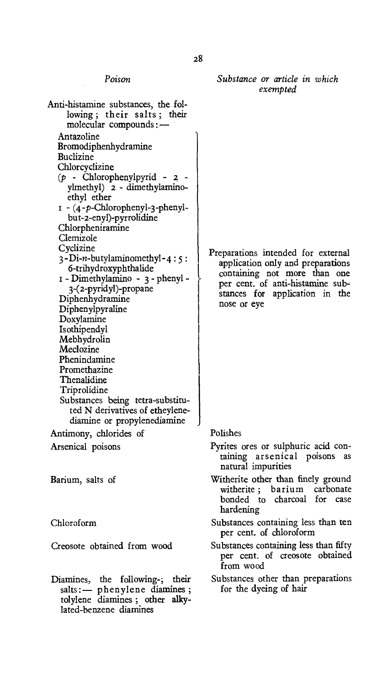| Poison                                                                                                                                                                                                                                                                                                                                                                                            | Substance or article in which<br>exempted                                                                                                              |
|---------------------------------------------------------------------------------------------------------------------------------------------------------------------------------------------------------------------------------------------------------------------------------------------------------------------------------------------------------------------------------------------------|--------------------------------------------------------------------------------------------------------------------------------------------------------|
| Anti-histamine substances, the fol-<br>lowing; their salts; their<br>molecular compounds: —<br>Antazoline<br>Bromodiphenhydramine<br>Buclizine<br>Chlorcyclizine<br>$(p - Chlorophenylpyrid - 2)$<br>ylmethyl) 2 - dimethylamino-<br>ethyl ether<br>$I - (4-p-Chlorophenyl-3-phenyl-$<br>but-2-enyl)-pyrrolidine<br>Chlorpheniramine<br>Clemizole<br>Cyclizine<br>$3-Di-n$ -butylaminomethyl-4:5: | Preparations intended for external                                                                                                                     |
| 6-trihydroxyphthalide<br>1 - Dimethylamino - 3 - phenyl -<br>3-(2-pyridyl)-propane<br>Diphenhydramine<br>Diphenylpyraline<br>Doxylamine<br>Isothipendyl<br>Mebhydrolin<br>Meclozine<br>Phenindamine<br>Promethazine<br>Thenalidine<br>Triprolidine<br>Substances being tetra-substitu-<br>ted N derivatives of etheylene-<br>diamine or propylenediamine                                          | application only and preparations<br>containing not more than one<br>per cent. of anti-histamine sub-<br>stances for application in the<br>nose or eye |
| Antimony, chlorides of                                                                                                                                                                                                                                                                                                                                                                            | Polishes                                                                                                                                               |
| Arsenical poisons                                                                                                                                                                                                                                                                                                                                                                                 | Pyrites ores or sulphuric acid con-<br>taining arsenical poisons<br>as<br>natural impurities                                                           |
| Barium, salts of                                                                                                                                                                                                                                                                                                                                                                                  | Witherite other than finely ground<br>witherite; barium<br>carbonate<br>bonded to charcoal for<br>case<br>hardening                                    |
| Chloroform                                                                                                                                                                                                                                                                                                                                                                                        | Substances containing less than ten<br>per cent. of chloroform                                                                                         |
| Creosote obtained from wood                                                                                                                                                                                                                                                                                                                                                                       | Substances containing less than fifty<br>per cent. of creosote obtained<br>from wood                                                                   |
| Diamines, the following-; their<br>salts: - phenylene diamines;<br>tolylene diamines; other alky-<br>lated-benzene diamines                                                                                                                                                                                                                                                                       | Substances other than preparations<br>for the dyeing of hair                                                                                           |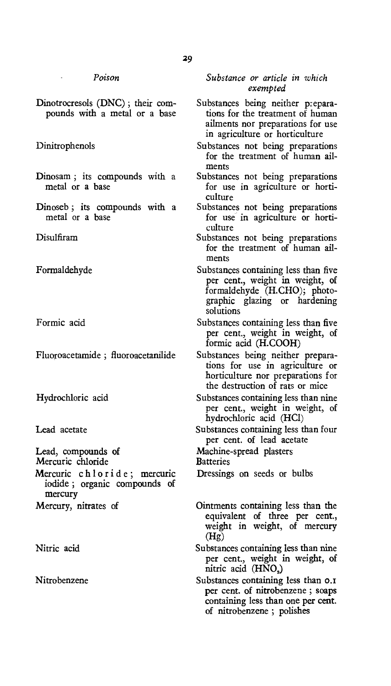Dinotrocresols (DNC) ; their compounds with a metal or a base

Dinitrophenols

- Dinosam ; its compounds with a metal or a base
- Dinoseb ; its compounds with a metal or a base

Disulfiram

Formaldehyde

Formic acid

Fluoroacetamide ; fluoroacetanilide

Hydrochloric acid

Lead acetate

Lead, compounds of

Mercuric chloride

Mercuric chloride; mercuric iodide ; organic compounds of mercury Mercury, nitrates of

Nitric acid

Nitrobenzene

*Substance or article in which exempted* 

- Substances being neither preparations for the treatment of human ailments nor preparations for use in agriculture or horticulture
- Substances not being preparations for the treatment of human ailments
- Substances not being preparations for use in agriculture or horticulture
- Substances not being preparations for use in agriculture or horticulture
- Substances not being preparations for the treatment of human ailments
- Substances containing less than five per cent., weight in weight, of formaldehyde (H.CHO); photographic glazing or hardening solutions
- Substances containing less than five per cent., weight in weight, of formic acid (H.COOH)
- Substances being neither preparations for use in agriculture or horticulture nor preparations for the destruction of rats or mice
- Substances containing less than nine per cent., weight in weight, of hydrochloric acid (HC1)
- Substances containing less than four per cent. of lead acetate

Machine-spread plasters

**Batteries** 

Dressings on seeds or bulbs

Ointments containing less than the equivalent of three per cent., weight in weight, of mercury (Hg)

Substances containing less than nine per cent., weight in weight, of nitric acid (HNO,)

Substances containing less than  $o.\tau$ per cent. of nitrobenzene ; soaps containing less than one per cent. of nitrobenzene ; polishes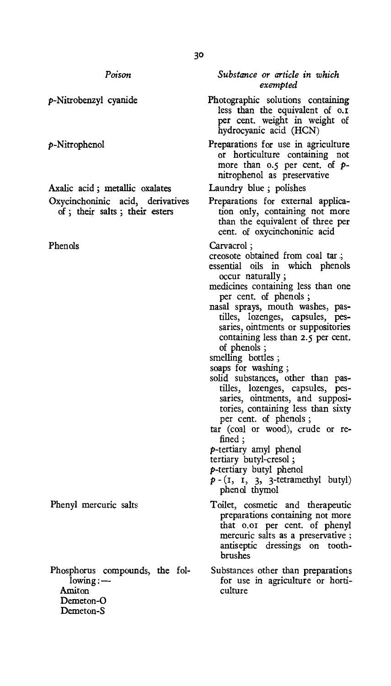p-Nitrobenzyl cyanide

p-Nitrophenol

Axalic acid ; metallic oxalates Oxycinchoninic acid, derivatives of ; their salts ; their esters

Phenols

Phenyl mercuric salts

Phosphorus compounds, the fol $lowing:$   $-$ Amiton Demeton-O Demeton-S

*Substance or article in which exempted* 

- Photographic solutions containing less than the equivalent of o.r per cent. weight in weight of hydrocyanic acid (HCN)
- Preparations for use in agriculture or horticulture containing not more than 0.5 per cent, of pnitrophenol as preservative

Laundry blue ; polishes

Preparations for external application only, containing not more than the equivalent of three per cent. of oxycinchoninic acid

Carvacrol ;

creosote obtained from coal tar .;

- essential oils in which phenols occur naturally ;
- medicines containing less than one per cent. of phenols ;
- nasal sprays, mouth washes, pastilles, lozenges, capsules, pessaries, ointments or suppositories containing less than 2.5 per cent. of phenols ;
- smelling bottles ;
- soaps for washing ;
- solid substances, other than pastilles, lozenges, capsules, pessaries, ointments, and suppositories, containing less than sixty per cent. of phenols ;
- tar (coal or wood), crude or refined ;
- p-tertiary amyl phenol
- tertiary butyl-cresol;
- p-tertiary butyl phenol
- $p (I, I, 3, 3-tetramethyl butyl)$ phenol thymol
- Toilet, cosmetic and therapeutic preparations containing not more that 0.0I per cent. of phenyl mercuric salts as a preservative ; antiseptic dressings on toothbrushes
- Substances other than preparations for use in agriculture or horticulture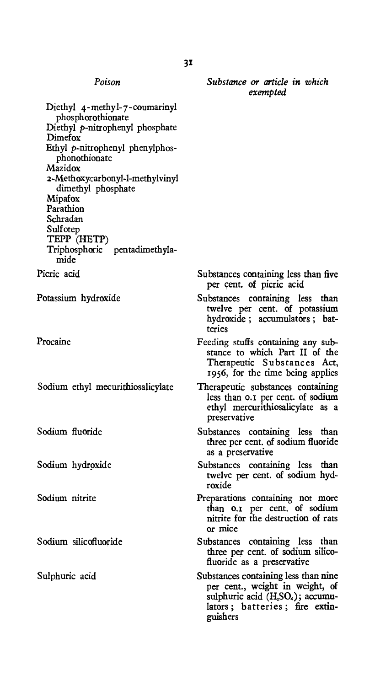| Poison                                                                                                                                                                                                                                                                                                                           | Substance or article in which<br>exempted                                                                                                                                          |
|----------------------------------------------------------------------------------------------------------------------------------------------------------------------------------------------------------------------------------------------------------------------------------------------------------------------------------|------------------------------------------------------------------------------------------------------------------------------------------------------------------------------------|
| Diethyl 4-methyl-7-coumarinyl<br>phosphorothionate<br>Diethyl p-nitrophenyl phosphate<br>Dimefox<br>Ethyl p-nitrophenyl phenylphos-<br>phonothionate<br>Mazidox<br>2-Methoxycarbonyl-l-methylvinyl<br>dimethyl phosphate<br>Mipafox<br>Parathion<br>Schradan<br>Sulfotep<br>TEPP (HETP)<br>Triphosphoric pentadimethyla-<br>mide |                                                                                                                                                                                    |
| Picric acid                                                                                                                                                                                                                                                                                                                      | Substances containing less than five<br>per cent. of picric acid                                                                                                                   |
| Potassium hydroxide                                                                                                                                                                                                                                                                                                              | Substances containing less than<br>twelve per cent. of potassium<br>hydroxide; accumulators; bat-<br>teries                                                                        |
| Procaine                                                                                                                                                                                                                                                                                                                         | Feeding stuffs containing any sub-<br>stance to which Part II of the<br>Therapeutic Substances Act,<br>1956, for the time being applies                                            |
| Sodium ethyl mecurithiosalicylate                                                                                                                                                                                                                                                                                                | Therapeutic substances containing<br>less than 0.1 per cent. of sodium<br>ethyl mercurithiosalicylate as a<br>preservative                                                         |
| Sodium fluoride                                                                                                                                                                                                                                                                                                                  | Substances containing less than<br>three per cent. of sodium fluoride<br>as a preservative                                                                                         |
| Sodium hydroxide                                                                                                                                                                                                                                                                                                                 | Substances containing less than<br>twelve per cent. of sodium hyd-<br>roxide                                                                                                       |
| Sodium nitrite                                                                                                                                                                                                                                                                                                                   | Preparations containing not more<br>than o.1 per cent. of sodium<br>nitrite for the destruction of rats<br>or mice                                                                 |
| Sodium silicofluoride                                                                                                                                                                                                                                                                                                            | Substances containing less than<br>three per cent. of sodium silico-<br>fluoride as a preservative                                                                                 |
| Sulphuric acid                                                                                                                                                                                                                                                                                                                   | Substances containing less than nine<br>per cent., weight in weight, of<br>sulphuric acid (H <sub>2</sub> SO <sub>4</sub> ); accumu-<br>lators; batteries; fire extin-<br>guishers |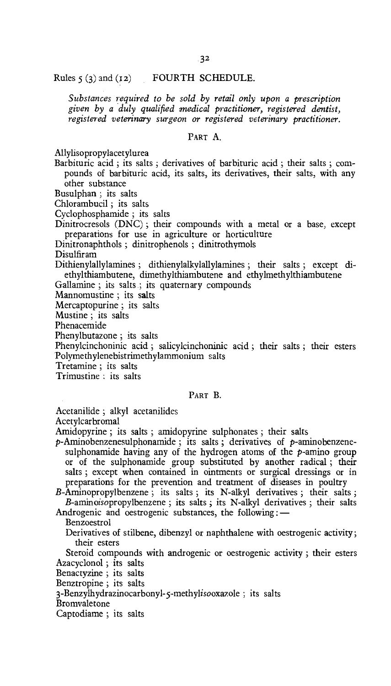Rules  $\varsigma$  (3) and (12) FOURTH SCHEDULE.

*Substances required to be sold by retail only upon a prescription given by a duly qualified medical practitioner, registered dentist, registered veterinary surgeon or registered veterinary practitioner.* 

# PART A.

Allylisopropylacetylurea

Barbituric acid ; its salts ; derivatives of barbituric acid ; their salts ; compounds of barbituric acid, its salts, its derivatives, their salts, with any other substance

Busulphan ; its salts

Chlorambucil ; its salts

Cyclophosphamide ; its salts

Dinitrocresols (DNC) ; their compounds with a metal or a base, except preparations for use in agriculture or horticulture

Dinitronaphthols ; dinitrophenols ; dinitrothymols

Disulfiram

Dithienylallylamines ; dithienylalkylallylamines ; their salts ; except di-. ethylthiambutene, dimethylthiambutene and ethylmethylthiambutene

Gallamine ; its salts ; its quaternary compounds

Mannomustine ; its salts

Mercaptopurine ; its salts

Mustine ; its salts

Phenacemide

Phenylbutazone ; its salts

Phenylcinchoninic acid ; salicylcinchoninic acid ; their salts ; their esters Polymethylenebistrimethylammonium salts

Tretamine ; its salts

Trimustine : its salts

# PART B.

Acetanilide ; alkyl acetanilides

Acetylcarbromal

Amidopyrine ; its salts ; amidopyrine sulphonates ; their salts

p-Aminobenzenesulphonamide; its salts; derivatives of p-aminobenzenesulphonamide having any of the hydrogen atoms of the  $p$ -amino group or of the sulphonamide group substituted by another radical ; their salts ; except when contained in ointments or surgical dressings or in preparations for the prevention and treatment of diseases in poultry

B-Aminopropylbenzene ; its salts ; its N-alkyl derivatives ; their salts ; B-aminoisopropylbenzene ; its salts ; its N-alkyl derivatives ; their salts

Androgenic and oestrogenic substances, the following : —

Benzoestrol

Derivatives of stilbene, dibenzyl or naphthalene with oestrogenic activity; their esters

Steroid compounds with androgenic or oestrogenic activity ; their esters Azacyclonol ; its salts

Benactyzine ; its salts

Benztropine ; its salts

3-Benzylhydrazinocarbony1-5-methylisooxazole ; its salts

Bromvaletone

Captodiame ; its salts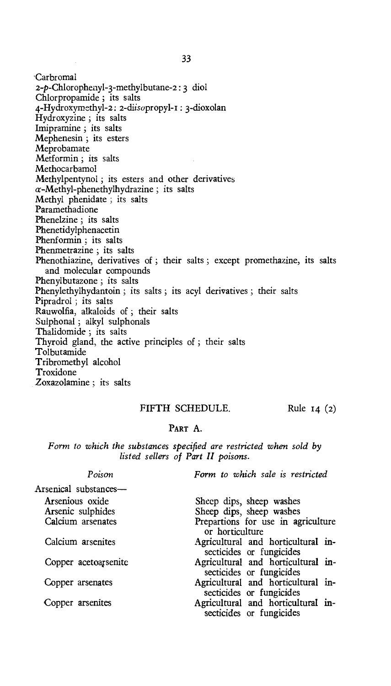'Carbromal 2-p-Chloropheny1-3-methylbutane-2 : 3 diol Chlorpropamide ; its salts 4-Hydroxyrnethy1-2: 2-diisopropyl-I : 3-dioxolan Hydroxyzine ; its salts Imipramine ; its salts Mephenesin ; its esters Meprobamate Metformin ; its salts Methocarbamol Methylpentynol ; its esters and other derivatives  $\alpha$ -Methyl-phenethylhydrazine; its salts Methyl phenidate ; its salts Paramethadione Phenelzine ; its salts Phenetidylphenacetin Phenformin ; its salts Phenmetrazine ; its salts Phenothiazine, derivatives of ; their salts ; except promethazine, its salts and molecular compounds Phenylbutazone; its salts Phenylethylhydantoin ; its salts ; its acyl derivatives ; their salts Pipradrol ; its salts Rauwolfia, alkaloids of ; their salts Sulphonal ; alkyl sulphonals Thalidomide ; its salts Thyroid gland, the active principles of ; their salts Tolbutamide Tribromethyl alcohol Troxidone Zoxazolamine ; its salts

# FIFTH SCHEDULE. Rule 14 (2)

# PART A.

*Form to which the substances specified are restricted when sold by listed sellers of Part II poisons.* 

| Poison                               | Form to which sale is restricted                               |
|--------------------------------------|----------------------------------------------------------------|
| Arsenical substances-                |                                                                |
| Arsenious oxide<br>Arsenic sulphides | Sheep dips, sheep washes<br>Sheep dips, sheep washes           |
| Calcium arsenates                    | Prepartions for use in agriculture<br>or horticulture          |
| Calcium arsenites                    | Agricultural and horticultural in-<br>secticides or fungicides |
| Copper acetoarsenite                 | Agricultural and horticultural in-<br>secticides or fungicides |
| Copper arsenates                     | Agricultural and horticultural in-<br>secticides or fungicides |
| Copper arsenites                     | Agricultural and horticultural in-<br>secticides or fungicides |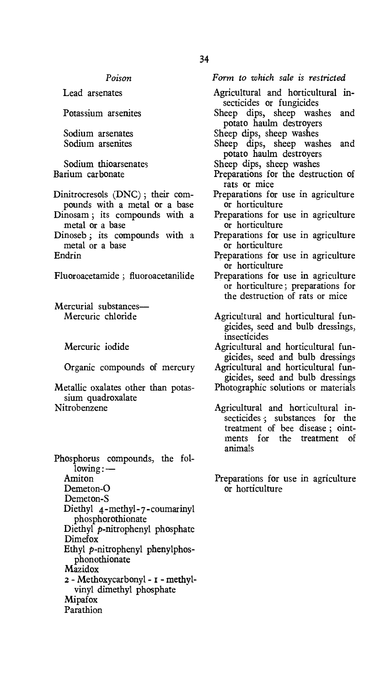Lead arsenates

Potassium arsenites

Sodium arsenates Sodium arsenites

Sodium thioarsenates Barium carbonate

Dinitrocresols (DNC) ; their compounds with a metal or a base

- Dinosam ; its compounds with a metal or a base
- Dinoseb ; its compounds with a metal or a base Endrin

Fluoroacetamide ; fluoroacetanilide

Mercurial substances— Mercuric chloride

Mercuric iodide

Organic compounds of mercury

Metallic oxalates other than potassium quadroxalate Nitrobenzene

Phosphorus compounds, the following : — Amiton Demeton-O Demeton-S Diethyl 4-methyl-7-coumarinyl phosphorothionate Diethyl p-nitrophenyl phosphate Dimefox Ethyl p-nitrophenyl phenylphosphonothionate Mazidox 2 - Methoxycarbonyl - r - methylvinyl dimethyl phosphate Mipafox Parathion

*Form to which sale is restricted* 

- Agricultural and horticultural insecticides or fungicides
- Sheep dips, sheep washes and potato haulm destroyers
- Sheep dips, sheep washes
- Sheep dips, sheep washes and potato haulm destroyers
- Sheep dips, sheep washes
- Preparations for the destruction of rats or mice
- Preparations for use in agriculture or horticulture
- Preparations for use in agriculture or horticulture
- Preparations for use in agriculture or horticulture
- Preparations for use in agriculture or horticulture
- Preparations for use in agriculture or horticulture; preparations for the destruction of rats or mice
- Agricultural and horticultural fungicides, seed and bulb dressings, insecticides
- Agricultural and horticultural fungicides, seed and bulb dressings
- Agricultural and horticultural fungicides, seed and bulb dressings
- Photographic solutions or materials
- Agricultural and horticultural insecticides ; substances for the treatment of bee disease ; ointments for the treatment of animals
- Preparations for use in agriculture or horticulture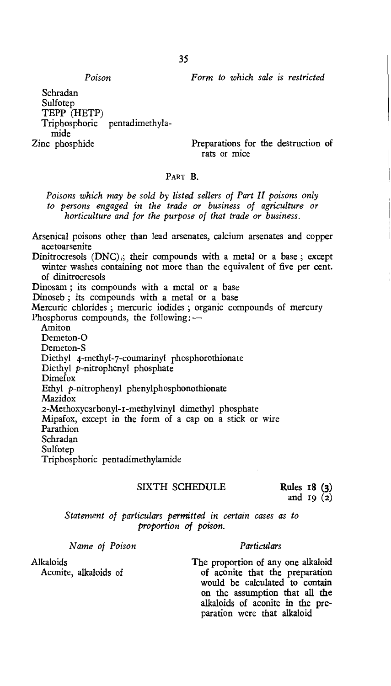*Poison Form to which sale is restricted* 

Schradan Sulfotep TEPP (HETP) Triphosphoric pentadimethylamide<br>Zinc phosphide

Preparations for the destruction of rats or mice

# PART **B.**

*Poisons which may be sold by listed sellers of Part II poisons only to persons engaged in the trade or business of agriculture or horticulture and for the purpose of that trade or business.* 

Arsenical poisons other than lead arsenates, calcium arsenates and copper acetoarsenite

Dinitrocresols  $(DNC)$ ; their compounds with a metal or a base; except winter washes containing not more than the equivalent of five per cent. of dinitrocresols

Dinosam ; its compounds with a metal or a base

Dinoseb ; its compounds with a metal or a base

Mercuric chlorides ; mercuric iodides ; organic compounds of mercury Phosphorus compounds, the following: —

Amiton Demeton-O

Demeton-S

Diethyl 4-methyl-7-coumarinyl phosphorothionate

Diethyl p-nitrophenyl phosphate

Dimefox

Ethyl p-nitrophenyl phenylphosphonothionate

Mazidox

2-Methoxycarbonyl-I-methylvinyl dimethyl phosphate

Mipafox, except in the form of a cap on a stick or wire

Parathion Schradan

**Sulfoten** 

Triphosphoric pentadimethylamide

# SIXTH SCHEDULE Rules 18 (3)

**and 19 (2)** 

*Statement of particulars permitted in certain cases as to proportion of poison.* 

*Name of Poison Particulars* 

Alkaloids<br> **Alkaloids** Aconite, alkaloids of **The proportion of any one alkaloid**<br> **Aconite** calkaloids of **The proportion of aconite** that the preparation **Aconite, alkaloids of of aconite that the preparation would be calculated to contain on the assumption that all the alkaloids of aconite in the preparation were that alkaloid**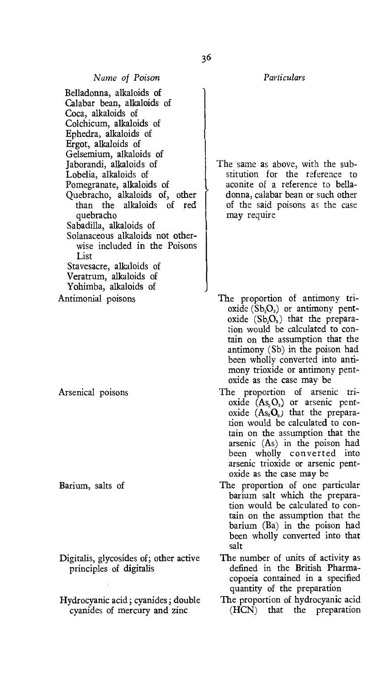Belladonna, alkaloids of Calabar bean, alkaloids of Coca, alkaloids of Colchicum, alkaloids of Ephedra, alkaloids of Ergot, alkaloids of Gelsemium, alkaloids of Jaborandi, alkaloids of Lobelia, alkaloids of Pomegranate, alkaloids of Quebracho, alkaloids of, other than the alkaloids of red quebracho Sabadilla, alkaloids of Solanaceous alkaloids not otherwise included in the Poisons List Stavesacre, alkaloids of Veratrum, alkaloids of

Yohimba, alkaloids of

Antimonial poisons

Arsenical poisons

Barium, salts of

- Digitalis, glycosides of; other active principles of digitalis
- Hydrocyanic acid; cyanides; double cyanides of mercury and zinc

*Name of Poison Particulars* 

The same as above, with the substitution for the reference to aconite of a reference to belladonna, calabar bean or such other of the said poisons as the case may require

- The proportion of antimony trioxide  $(Sb<sub>2</sub>O<sub>3</sub>)$  or antimony pentoxide  $(Sb<sub>2</sub>O<sub>s</sub>)$  that the preparation would be calculated to contain on the assumption that the antimony (Sb) in the poison had been wholly converted into antimony trioxide or antimony pentoxide as the case may be
- The proportion of arsenic trioxide  $(As<sub>2</sub>O<sub>3</sub>)$  or arsenic pentoxide  $(As<sub>2</sub>O<sub>5</sub>)$  that the preparation would be calculated to contain on the assumption that the arsenic (As) in the poison had been wholly converted into arsenic trioxide or arsenic pentoxide as the case may be
- The proportion of one particular barium salt which the preparation would be calculated to contain on the assumption that the barium (Ba) in the poison had been wholly converted into that salt
- The number of units of activity as defined in the British Pharmacopoeia contained in a specified quantity of the preparation
- The proportion of hydrocyanic acid (HCN) that the preparation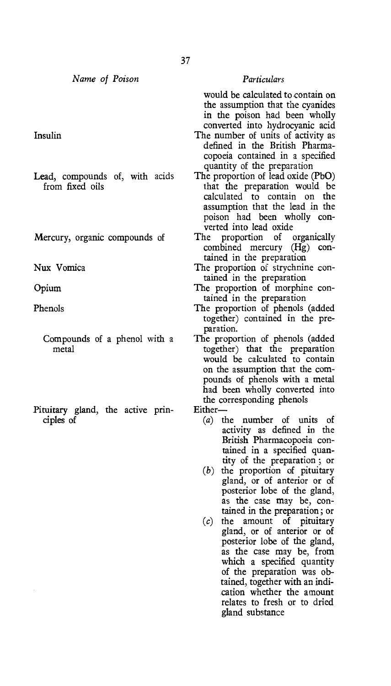*Name of Poison Particulars* 

- Lead, compounds of, with acids from fixed oils
- Mercury, organic compounds of

- 
- Pituitary gland, the active prin-<br>ciples of  $\begin{pmatrix} a \end{pmatrix}$

would be calculated to contain on the assumption that the cyanides in the poison had been wholly converted into hydrocyanic acid

- Insulin The number of units of activity as defined in the British Pharmacopoeia contained in a specified quantity of the preparation<br>The proportion of lead oxide (PbO)
	- that the preparation would be calculated to contain on the assumption that the lead in the poison had been wholly converted into lead oxide<br>The proportion of organically
	- combined mercury (Hg) contained in the preparation
- Nux Vomica The proportion of strychnine contained in the preparation
- Opium The proportion of morphine contained in the preparation
- Phenols The proportion of phenols (added together) contained in the preparation.
	- Compounds of a phenol with a The proportion of phenols (added metal together) that the preparation would be calculated to contain on the assumption that the compounds of phenols with a metal had been wholly converted into the corresponding phenols<br>Either
		- - the number of units of activity as defined in the British Pharmacopoeia contained in a specified quantity of the preparation ; or
			- (b) the proportion of pituitary gland, or of anterior or of posterior lobe of the gland, as the case may be, contained in the preparation; or
			- (c) the amount of pituitary gland, or of anterior or of posterior lobe of the gland, as the case may be, from which a specified quantity of the preparation was obtained, together with an indication whether the amount relates to fresh or to dried gland substance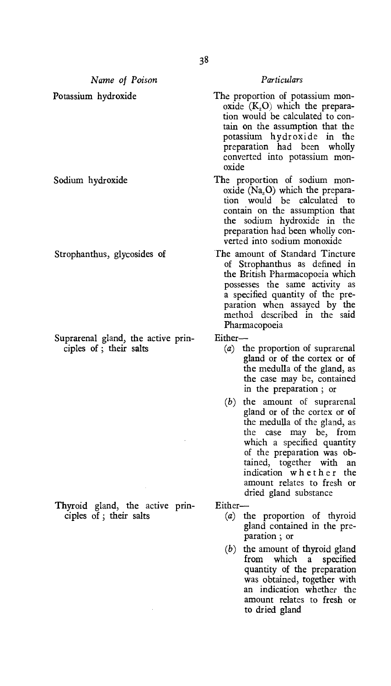*Name of Poison Particulars* 

Suprarenal gland, the active prin-<br>ciples of; their salts  $(a)$ 

Thyroid gland, the active prin-<br>ciples of ; their salts  $(a)$ 

- Potassium hydroxide The proportion of potassium monoxide  $(K_2O)$  which the preparation would be calculated to contain on the assumption that the potassium hydroxide in the preparation had been wholly converted into potassium monoxide
- Sodium hydroxide The proportion of sodium monoxide  $(Na, O)$  which the preparation would be calculated to contain on the assumption that the sodium hydroxide in the preparation had been wholly converted into sodium monoxide
- Strophanthus, glycosides of The amount of Standard Tincture of Strophanthus as defined in the British Pharmacopoeia which possesses the same activity as a specified quantity of the preparation when assayed by the method described in the said Pharmacopoeia

- $\alpha$  the proportion of suprarenal gland or of the cortex or of the medulla of the gland, as the case may be, contained in the preparation ; or
- *(b)* the amount of suprarenal gland or of the cortex or of the medulla of the gland, as the case may be, from which a specified quantity of the preparation was obtained, together with an indication whether the amount relates to fresh or dried gland substance

- (a) the proportion of thyroid gland contained in the preparation ; or
- (b) the amount of thyroid gland<br>from which a specified a specified quantity of the preparation was obtained, together with an indication whether the amount relates to fresh or to dried gland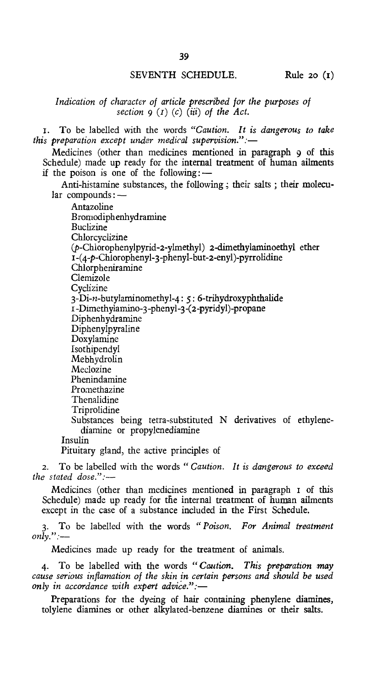# SEVENTH SCHEDULE. Rule 20 (I)

# *Indication of character of article prescribed for the purposes of section 9 (r) (c) (iii) of the Act.*

- i. To be labelled with the words *"Caution. It is dangerous to fake this preparation except under medical supervision.":—* 
	- Medicines (other than medicines mentioned in paragraph 9 of this Schedule) made up ready for the internal treatment of human ailments if the poison is one of the following: $-$ 
		- Anti-histamine substances, the following ; their salts ; their molecular compounds :—

Antazoline Bromodiphenhydramine **Buclizine** Chlorcyclizine (p-Chiorophenylpyrid-2-ylmethyl) 2-dimethylaminoethyl ether I-(4-p-Chloropheny1-3-phenyl-but-2-eny1)-pyrrolidine Chlorpheniramine Clemizole **Cyclizine**  $3-Di-n-butylaminomethyl-4: 5: 6-trihydroxyphthalide$ i -Dimethyiamino-3-phenyl-3-(2-pyridyl)-propane Diphenhydramine Diphenylpyraline Doxylamine Isothipendyl Mebhydrolin Meclozine Phenindamine **Promethazine** Thenalidine Triprolidine Substances being tetra-substituted N derivatives of ethylenediamine or propylenediamine Insulin Pituitary gland, the active principles of

2. To be labelled with the words *"Caution. It is dangerous to exceed the stated dose.":—* 

Medicines (other than medicines mentioned in paragraph i of this Schedule) made up ready for the internal treatment of human ailments except in the case of a substance included in the First Schedule.

3. To be labelled with the words *"Poison. For Animal treatment only.":—* 

Medicines made up ready for the treatment of animals.

4. To be labelled with the words *"Caution. This preparation may cause serious inflamation of the skin in certain persons and should be used only in accordance with expert advice.":—* 

Preparations for the dyeing of hair containing phenylene diamines, tolylene diamines or other alkylated-benzene diamines or their salts.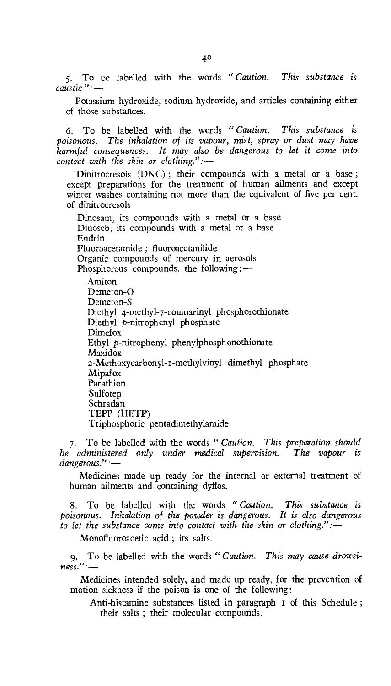5. To be labelled with the words *" Caution. This substance is caustic ":—* 

Potassium hydroxide, sodium hydroxide, and articles containing either of those substances.

6. To be labelled with the words *"Caution. This substance is poisonous. The inhalation of its vapour, mist, spray or dust may have harmful consequences. It may also be dangerous to let it come into contact with the skin or clothing.":—* 

Dinitrocresols (DNC) ; their compounds with a metal or a base ; except preparations for the treatment of human ailments and except winter washes containing not more than the equivalent of five per cent. of dinitrocresols

Dinosam, its compounds with a metal or a base Dinoseb, its compounds with a metal or a base Endrin Fluoroacetamide ; fluoroacetanilide Organic compounds of mercury in aerosols Phosphorous compounds, the following: —

Amiton Demeton-O Demeton-S Diethyl 4-methyl-7-coumarinyl phosphorothionate Diethyl p-nitrophenyl phosphate Dimefox Ethyl p-nitrophenyl phenylphosphonothionate Mazidox 2-Methoxycarbonyl-r-methylvinyl dimethyl phosphate Mipafox Parathion Sulfotep Schradan TEPP (HETP) Triphosphoric pentadimethylamide

7. To be labelled with the words *"Caution. This preparation should be administered only under medical supervision. The vapour is dangerous."* 

Medicines made up ready for the internal or external treatment of human ailments and containing dyflos.

8. To be labelled with the words *"Caution. This substance is poisonous. Inhalation of the powder is dangerous. It is also dangerous to let the substance come into contact with the skin or clothing.":—* 

*Monofluoroacetic* acid ; its salts.

9. To be labelled with the words *"Caution. This may cause drowsiness.":—* 

Medicines intended solely, and made up ready, for the prevention of motion sickness if the poison is one of the following: $-$ 

Anti-histamine substances listed in paragraph i of this Schedule ; their salts ; their molecular compounds.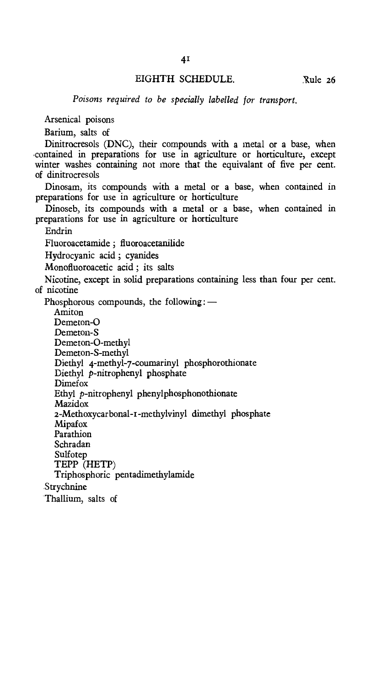# EIGHTH SCHEDULE. Rule 26

*Poisons required to be specially labelled for transport.* 

Arsenical poisons

Barium, salts of

Dinitrocresols (DNC), their compounds with a metal or a base, when contained in preparations for use in agriculture or horticulture, except winter washes containing not more that the equivalant of five per cent. of dinitrocresols

Dinosam, its compounds with a metal or a base, when contained in preparations for use in agriculture or horticulture

Dinoseb, its compounds with a metal or a base, when contained in preparations for use in agriculture or horticulture

Endrin

Fluoroacetamide ; fluoroacetanilide

Hydrocyanic acid ; cyanides

Monofluoroacetic acid ; its salts

Nicotine, except in solid preparations containing less than four per cent. of nicotine

Phosphorous compounds, the following: —

Amiton Demeton-O Demeton-S Demeton-O-methyl Demeton-S-methyl Diethyl 4-methyl-7-coumarinyl phosphorothionate Diethyl p-nitrophenyl phosphate Dimefox Ethyl p-nitrophenyl phenylphosphonothionate **Mazidox** 2-Methoxycarbonal-r-methylvinyl dimethyl phosphate Mipafox Parathion Schradan Sulfotep TEPP (HETP) Triphosphoric pentadimethylamide Strychnine Thallium, salts of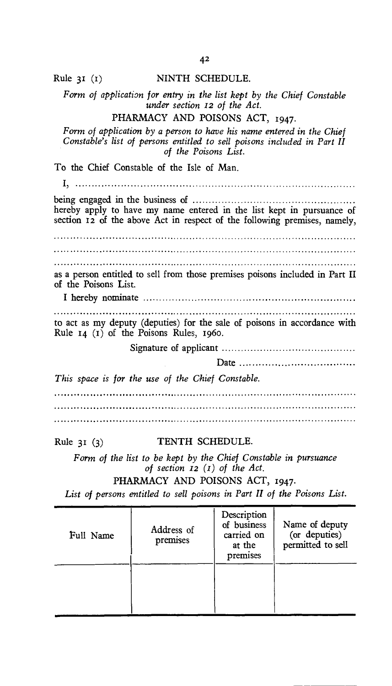# Rule 31 (I) NINTH SCHEDULE.

*Form of application for entry in the list kept by the Chief Constable under section 12 of the Act.* 

# PHARMACY AND POISONS ACT, 1947.

*Form of application by a person to have his name entered in the Chief Constable's list of persons entitled to sell poisons included in Part II of the Poisons List.* 

To the Chief Constable of the Isle of Man.

being engaged in the business of hereby apply to have my name entered in the list kept in pursuance of section 12 of the above Act in respect of the following premises, namely, 

as a person entitled to sell from those premises poisons included in Part II of the Poisons List.

I hereby nominate

to act as my deputy (deputies) for the sale of poisons in accordance with Rule 14 (t) of the Poisons Rules, 196o.

Signature of applicant

Date

*This space is for the use of the Chief Constable.* 

Rule 31 (3) TENTH SCHEDULE.

*Form of the list to be kept by the Chief Constable in pursuance of section 12 (1) of the Act.* 

PHARMACY AND POISONS ACT, 1947.

List of persons entitled to sell poisons in Part II of the Poisons List.

| Full Name | Address of<br>premises | Description<br>of business<br>carried on<br>at the<br>premises | Name of deputy<br>(or deputies)<br>permitted to sell |  |
|-----------|------------------------|----------------------------------------------------------------|------------------------------------------------------|--|
|           |                        |                                                                |                                                      |  |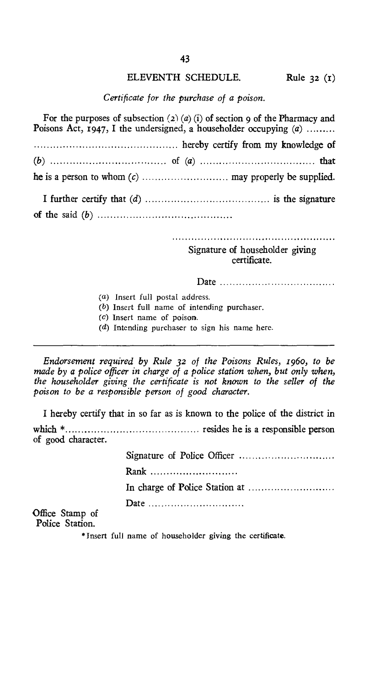# ELEVENTH SCHEDULE. Rule 32 (1)

*Certificate for the purchase of a poison.* 

For the purposes of subsection  $(2)$   $(a)$   $(i)$  of section 9 of the Pharmacy and Poisons Act, 1947, I the undersigned, a householder occupying  $(a)$ ........

 hereby certify from my knowledge of *(b)* of *(a)* that he is a person to whom *(c)* may properly be supplied.

I further certify that *(d)* is the signature of the said *(b)* 

Signature of householder giving certificate.

Date

- (a) Insert full postal address.
- (b) Insert full name of intending purchaser.
- (c) Insert name of poison.
- (d) Intending purchaser to sign his name here.

*Endorsement required by Rule 32 of the Poisons Rules, 196o, to be made by a police officer in charge of a police station when, but only when, the householder giving the certificate is not known to the seller of the poison to be a responsible person of good character.* 

I hereby certify that in so far as is known to the police of the district in which \* resides he is a responsible person of good character.

> Signature of Police Officer Rank ............................ In charge of Police Station at Date ..............................

Office Stamp of Police Station.

\* Insert full name of householder giving the certificate.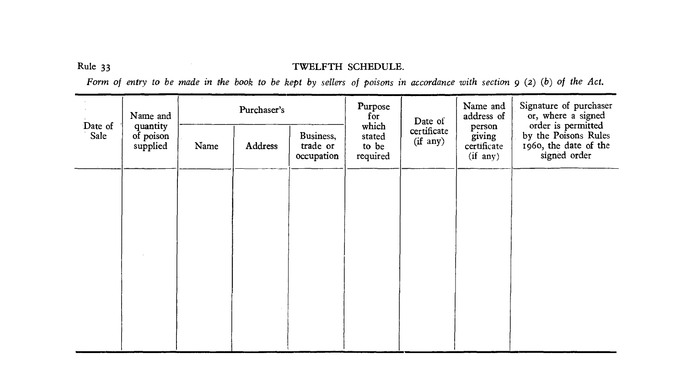# Rule 33 TWELFTH SCHEDULE.

*Form of entry to be made in the book to be kept by sellers of poisons in accordance with section 9 (2) (b) of the Act.* 

| Name and        |                                   | Purchaser's |         |                                     | Purpose<br>for                       | Date of                 | Name and<br>address of                          | Signature of purchaser<br>or, where a signed                                        |
|-----------------|-----------------------------------|-------------|---------|-------------------------------------|--------------------------------------|-------------------------|-------------------------------------------------|-------------------------------------------------------------------------------------|
| Date of<br>Sale | quantity<br>of poison<br>supplied | Name        | Address | Business,<br>trade or<br>occupation | which<br>stated<br>to be<br>required | certificate<br>(if any) | person<br>giving<br>certificate<br>$(if \ any)$ | order is permitted<br>by the Poisons Rules<br>1960, the date of the<br>signed order |
|                 |                                   |             |         |                                     |                                      |                         |                                                 |                                                                                     |
|                 |                                   |             |         |                                     |                                      |                         |                                                 |                                                                                     |
|                 |                                   |             |         |                                     |                                      |                         |                                                 |                                                                                     |
|                 |                                   |             |         |                                     |                                      |                         |                                                 |                                                                                     |
|                 |                                   |             |         |                                     |                                      |                         |                                                 |                                                                                     |
|                 |                                   |             |         |                                     |                                      |                         |                                                 |                                                                                     |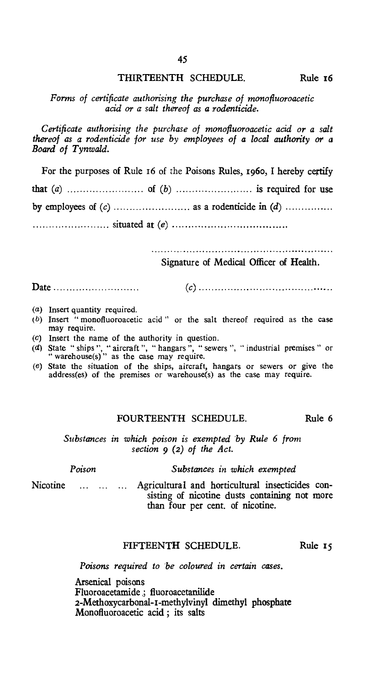# THIRTEENTH SCHEDULE. Rule 16

# *Forms of certificate authorising the purchase of monofluoroacetic acid or a salt thereof as* a *rodenticide.*

*Certificate authorising the purchase of monofluoroacetic acid or a salt thereof as a rodenticide for use by employees of* a *local authority or* a *Board of Tynwald.* 

For the purposes of Rule 16 of the Poisons Rules, 196o, I hereby certify

that *(a)* of *(b)* is required for use

by employees of *(c)* as a rodenticide in *(d)* 

situated *at (e)* 

Signature of Medical Officer of Health.

Date **1.** (*c*) **1.** (*c*) **1.** (*c*) **1.** (*c*) **1.** (*c*) **1.** (*c*) **1.** (*c*) **1.** (*c*) **1.** (*c*) **1.** (*c*) **1.** (*c*) **1.** (*c*) **1.** (*c*) **1.** (*c*) **1.** (*c*) **1.** (*c*) **1.** (*c*) **1.** (*c*) **1.** (*c*) **1.** (*c* 

- (a) Insert quantity required.
- (b) Insert "monofluoroacetic acid" or the salt thereof required as the case may require.
- (c) Insert the name of the authority in question.
- (d) State " ships ", " aircraft ", " hangars ", " sewers ", " industrial premises " or " warehouse(s)" as the case may require.
- (e) State the situation of the ships, aircraft, hangars or sewers or give the address(es) of the premises or warehouse(s) as the case may require.

# FOURTEENTH SCHEDULE. Rule 6

*Substances in which poison is exempted 'by Rule 6 from section 9 (2) of the Act.* 

| Poison |  |  | Substances in which exempted                                                                                                                      |
|--------|--|--|---------------------------------------------------------------------------------------------------------------------------------------------------|
|        |  |  | Nicotine    Agricultural and horticultural insecticides con-<br>sisting of nicotine dusts containing not more<br>than four per cent. of nicotine. |

# FIFTEENTH SCHEDULE. Rule 15

*Poisons required to be coloured in certain cases.* 

Arsenical poisons Fluoroacetamide .; fluoroacetanilide 2-Methoxycarbonal-r-methylvinyl dimethyl phosphate Monofluoroacetic acid ; its salts